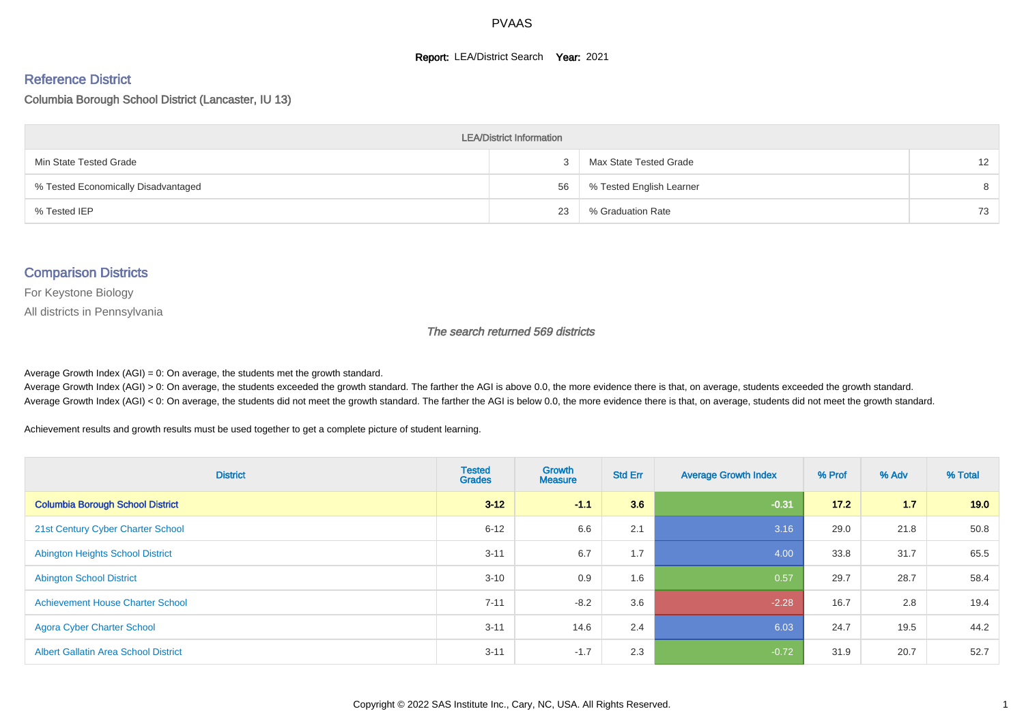#### **Report: LEA/District Search Year: 2021**

#### Reference District

#### Columbia Borough School District (Lancaster, IU 13)

| <b>LEA/District Information</b>     |    |                          |    |  |  |  |  |  |  |  |
|-------------------------------------|----|--------------------------|----|--|--|--|--|--|--|--|
| Min State Tested Grade              |    | Max State Tested Grade   | 12 |  |  |  |  |  |  |  |
| % Tested Economically Disadvantaged | 56 | % Tested English Learner | 8  |  |  |  |  |  |  |  |
| % Tested IEP                        | 23 | % Graduation Rate        | 73 |  |  |  |  |  |  |  |

#### Comparison Districts

For Keystone Biology

All districts in Pennsylvania

The search returned 569 districts

Average Growth Index  $(AGI) = 0$ : On average, the students met the growth standard.

Average Growth Index (AGI) > 0: On average, the students exceeded the growth standard. The farther the AGI is above 0.0, the more evidence there is that, on average, students exceeded the growth standard. Average Growth Index (AGI) < 0: On average, the students did not meet the growth standard. The farther the AGI is below 0.0, the more evidence there is that, on average, students did not meet the growth standard.

Achievement results and growth results must be used together to get a complete picture of student learning.

| <b>District</b>                             | <b>Tested</b><br><b>Grades</b> | <b>Growth</b><br><b>Measure</b> | <b>Std Err</b> | <b>Average Growth Index</b> | % Prof | % Adv | % Total |
|---------------------------------------------|--------------------------------|---------------------------------|----------------|-----------------------------|--------|-------|---------|
| <b>Columbia Borough School District</b>     | $3 - 12$                       | $-1.1$                          | 3.6            | $-0.31$                     | $17.2$ | 1.7   | 19.0    |
| 21st Century Cyber Charter School           | $6 - 12$                       | 6.6                             | 2.1            | 3.16                        | 29.0   | 21.8  | 50.8    |
| <b>Abington Heights School District</b>     | $3 - 11$                       | 6.7                             | 1.7            | 4.00                        | 33.8   | 31.7  | 65.5    |
| <b>Abington School District</b>             | $3 - 10$                       | 0.9                             | 1.6            | 0.57                        | 29.7   | 28.7  | 58.4    |
| <b>Achievement House Charter School</b>     | $7 - 11$                       | $-8.2$                          | 3.6            | $-2.28$                     | 16.7   | 2.8   | 19.4    |
| <b>Agora Cyber Charter School</b>           | $3 - 11$                       | 14.6                            | 2.4            | 6.03                        | 24.7   | 19.5  | 44.2    |
| <b>Albert Gallatin Area School District</b> | $3 - 11$                       | $-1.7$                          | 2.3            | $-0.72$                     | 31.9   | 20.7  | 52.7    |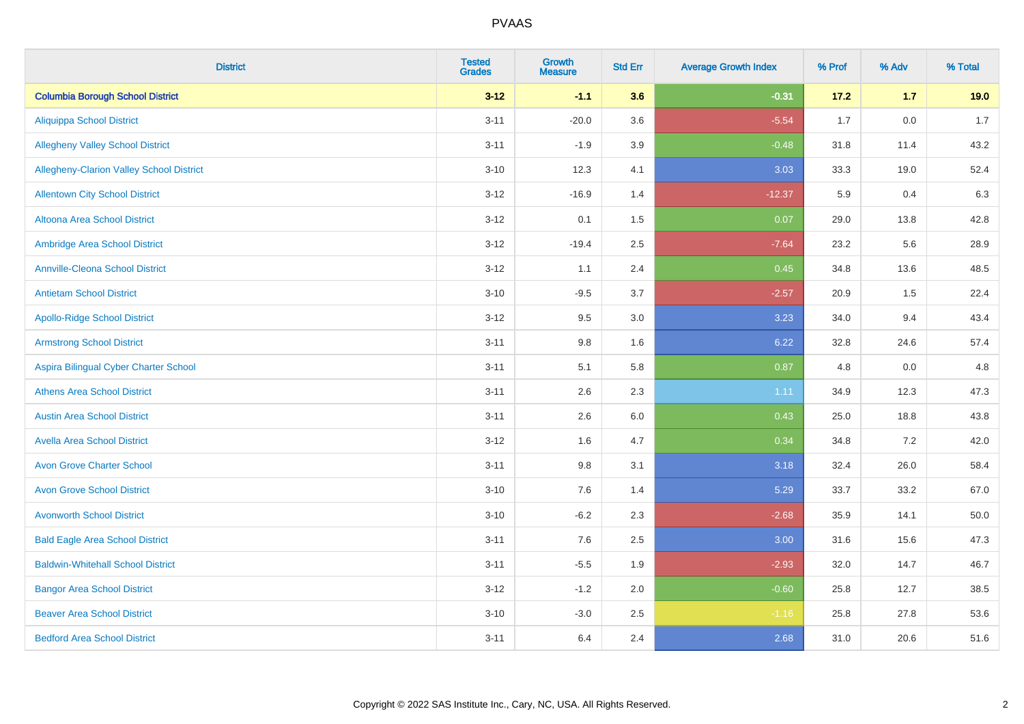| <b>District</b>                          | <b>Tested</b><br><b>Grades</b> | <b>Growth</b><br><b>Measure</b> | <b>Std Err</b> | <b>Average Growth Index</b> | % Prof | % Adv   | % Total |
|------------------------------------------|--------------------------------|---------------------------------|----------------|-----------------------------|--------|---------|---------|
| <b>Columbia Borough School District</b>  | $3 - 12$                       | $-1.1$                          | 3.6            | $-0.31$                     | 17.2   | 1.7     | 19.0    |
| <b>Aliquippa School District</b>         | $3 - 11$                       | $-20.0$                         | 3.6            | $-5.54$                     | 1.7    | $0.0\,$ | $1.7$   |
| <b>Allegheny Valley School District</b>  | $3 - 11$                       | $-1.9$                          | 3.9            | $-0.48$                     | 31.8   | 11.4    | 43.2    |
| Allegheny-Clarion Valley School District | $3 - 10$                       | 12.3                            | 4.1            | 3.03                        | 33.3   | 19.0    | 52.4    |
| <b>Allentown City School District</b>    | $3 - 12$                       | $-16.9$                         | 1.4            | $-12.37$                    | 5.9    | 0.4     | 6.3     |
| <b>Altoona Area School District</b>      | $3 - 12$                       | 0.1                             | 1.5            | 0.07                        | 29.0   | 13.8    | 42.8    |
| Ambridge Area School District            | $3 - 12$                       | $-19.4$                         | 2.5            | $-7.64$                     | 23.2   | 5.6     | 28.9    |
| <b>Annville-Cleona School District</b>   | $3 - 12$                       | 1.1                             | 2.4            | 0.45                        | 34.8   | 13.6    | 48.5    |
| <b>Antietam School District</b>          | $3 - 10$                       | $-9.5$                          | 3.7            | $-2.57$                     | 20.9   | 1.5     | 22.4    |
| <b>Apollo-Ridge School District</b>      | $3 - 12$                       | 9.5                             | 3.0            | 3.23                        | 34.0   | 9.4     | 43.4    |
| <b>Armstrong School District</b>         | $3 - 11$                       | 9.8                             | 1.6            | 6.22                        | 32.8   | 24.6    | 57.4    |
| Aspira Bilingual Cyber Charter School    | $3 - 11$                       | 5.1                             | 5.8            | 0.87                        | 4.8    | 0.0     | 4.8     |
| <b>Athens Area School District</b>       | $3 - 11$                       | 2.6                             | 2.3            | 1.11                        | 34.9   | 12.3    | 47.3    |
| <b>Austin Area School District</b>       | $3 - 11$                       | 2.6                             | 6.0            | 0.43                        | 25.0   | 18.8    | 43.8    |
| <b>Avella Area School District</b>       | $3 - 12$                       | 1.6                             | 4.7            | 0.34                        | 34.8   | 7.2     | 42.0    |
| <b>Avon Grove Charter School</b>         | $3 - 11$                       | 9.8                             | 3.1            | 3.18                        | 32.4   | 26.0    | 58.4    |
| <b>Avon Grove School District</b>        | $3 - 10$                       | 7.6                             | 1.4            | 5.29                        | 33.7   | 33.2    | 67.0    |
| <b>Avonworth School District</b>         | $3 - 10$                       | $-6.2$                          | 2.3            | $-2.68$                     | 35.9   | 14.1    | 50.0    |
| <b>Bald Eagle Area School District</b>   | $3 - 11$                       | 7.6                             | 2.5            | 3.00                        | 31.6   | 15.6    | 47.3    |
| <b>Baldwin-Whitehall School District</b> | $3 - 11$                       | $-5.5$                          | 1.9            | $-2.93$                     | 32.0   | 14.7    | 46.7    |
| <b>Bangor Area School District</b>       | $3 - 12$                       | $-1.2$                          | 2.0            | $-0.60$                     | 25.8   | 12.7    | 38.5    |
| <b>Beaver Area School District</b>       | $3 - 10$                       | $-3.0$                          | 2.5            | $-1.16$                     | 25.8   | 27.8    | 53.6    |
| <b>Bedford Area School District</b>      | $3 - 11$                       | 6.4                             | 2.4            | 2.68                        | 31.0   | 20.6    | 51.6    |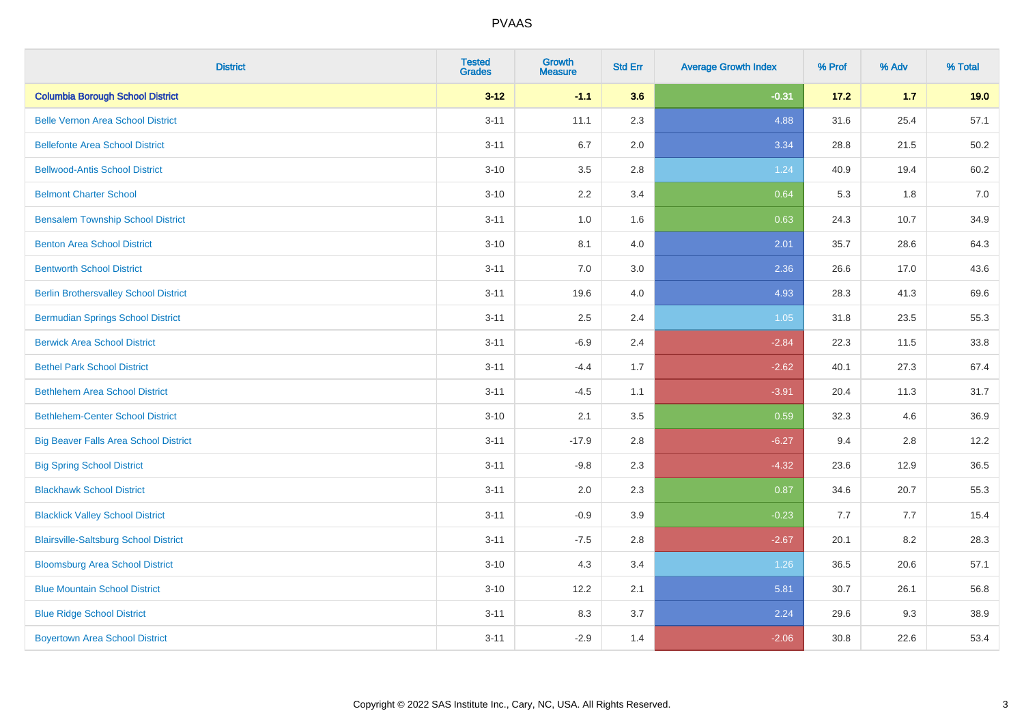| <b>District</b>                              | <b>Tested</b><br><b>Grades</b> | <b>Growth</b><br><b>Measure</b> | <b>Std Err</b> | <b>Average Growth Index</b> | % Prof | % Adv | % Total |
|----------------------------------------------|--------------------------------|---------------------------------|----------------|-----------------------------|--------|-------|---------|
| <b>Columbia Borough School District</b>      | $3 - 12$                       | $-1.1$                          | 3.6            | $-0.31$                     | 17.2   | 1.7   | 19.0    |
| <b>Belle Vernon Area School District</b>     | $3 - 11$                       | 11.1                            | 2.3            | 4.88                        | 31.6   | 25.4  | 57.1    |
| <b>Bellefonte Area School District</b>       | $3 - 11$                       | 6.7                             | 2.0            | 3.34                        | 28.8   | 21.5  | 50.2    |
| <b>Bellwood-Antis School District</b>        | $3 - 10$                       | 3.5                             | 2.8            | 1.24                        | 40.9   | 19.4  | 60.2    |
| <b>Belmont Charter School</b>                | $3 - 10$                       | 2.2                             | 3.4            | 0.64                        | 5.3    | 1.8   | 7.0     |
| <b>Bensalem Township School District</b>     | $3 - 11$                       | 1.0                             | 1.6            | 0.63                        | 24.3   | 10.7  | 34.9    |
| <b>Benton Area School District</b>           | $3 - 10$                       | 8.1                             | 4.0            | 2.01                        | 35.7   | 28.6  | 64.3    |
| <b>Bentworth School District</b>             | $3 - 11$                       | 7.0                             | 3.0            | 2.36                        | 26.6   | 17.0  | 43.6    |
| <b>Berlin Brothersvalley School District</b> | $3 - 11$                       | 19.6                            | 4.0            | 4.93                        | 28.3   | 41.3  | 69.6    |
| <b>Bermudian Springs School District</b>     | $3 - 11$                       | 2.5                             | 2.4            | 1.05                        | 31.8   | 23.5  | 55.3    |
| <b>Berwick Area School District</b>          | $3 - 11$                       | $-6.9$                          | 2.4            | $-2.84$                     | 22.3   | 11.5  | 33.8    |
| <b>Bethel Park School District</b>           | $3 - 11$                       | $-4.4$                          | 1.7            | $-2.62$                     | 40.1   | 27.3  | 67.4    |
| <b>Bethlehem Area School District</b>        | $3 - 11$                       | $-4.5$                          | 1.1            | $-3.91$                     | 20.4   | 11.3  | 31.7    |
| <b>Bethlehem-Center School District</b>      | $3 - 10$                       | 2.1                             | 3.5            | 0.59                        | 32.3   | 4.6   | 36.9    |
| <b>Big Beaver Falls Area School District</b> | $3 - 11$                       | $-17.9$                         | 2.8            | $-6.27$                     | 9.4    | 2.8   | 12.2    |
| <b>Big Spring School District</b>            | $3 - 11$                       | $-9.8$                          | 2.3            | $-4.32$                     | 23.6   | 12.9  | 36.5    |
| <b>Blackhawk School District</b>             | $3 - 11$                       | 2.0                             | 2.3            | 0.87                        | 34.6   | 20.7  | 55.3    |
| <b>Blacklick Valley School District</b>      | $3 - 11$                       | $-0.9$                          | 3.9            | $-0.23$                     | 7.7    | 7.7   | 15.4    |
| <b>Blairsville-Saltsburg School District</b> | $3 - 11$                       | $-7.5$                          | 2.8            | $-2.67$                     | 20.1   | 8.2   | 28.3    |
| <b>Bloomsburg Area School District</b>       | $3 - 10$                       | 4.3                             | 3.4            | 1.26                        | 36.5   | 20.6  | 57.1    |
| <b>Blue Mountain School District</b>         | $3 - 10$                       | 12.2                            | 2.1            | 5.81                        | 30.7   | 26.1  | 56.8    |
| <b>Blue Ridge School District</b>            | $3 - 11$                       | 8.3                             | 3.7            | 2.24                        | 29.6   | 9.3   | 38.9    |
| <b>Boyertown Area School District</b>        | $3 - 11$                       | $-2.9$                          | 1.4            | $-2.06$                     | 30.8   | 22.6  | 53.4    |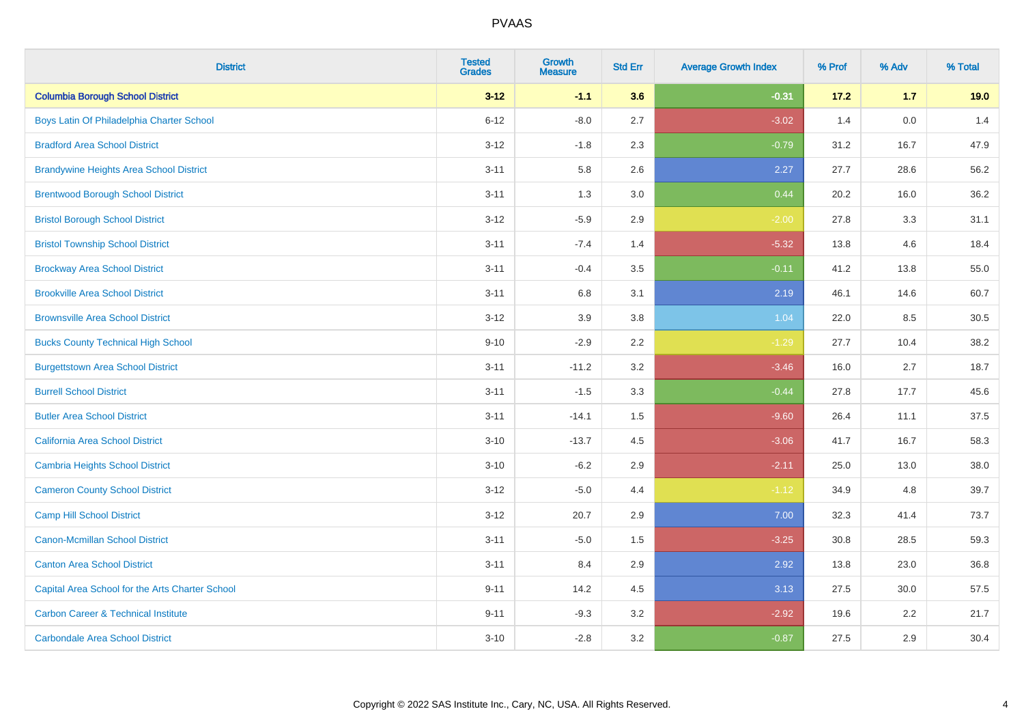| <b>District</b>                                 | <b>Tested</b><br><b>Grades</b> | <b>Growth</b><br><b>Measure</b> | <b>Std Err</b> | <b>Average Growth Index</b> | % Prof | % Adv | % Total |
|-------------------------------------------------|--------------------------------|---------------------------------|----------------|-----------------------------|--------|-------|---------|
| <b>Columbia Borough School District</b>         | $3 - 12$                       | $-1.1$                          | 3.6            | $-0.31$                     | 17.2   | $1.7$ | 19.0    |
| Boys Latin Of Philadelphia Charter School       | $6 - 12$                       | $-8.0$                          | 2.7            | $-3.02$                     | 1.4    | 0.0   | 1.4     |
| <b>Bradford Area School District</b>            | $3 - 12$                       | $-1.8$                          | 2.3            | $-0.79$                     | 31.2   | 16.7  | 47.9    |
| <b>Brandywine Heights Area School District</b>  | $3 - 11$                       | 5.8                             | 2.6            | 2.27                        | 27.7   | 28.6  | 56.2    |
| <b>Brentwood Borough School District</b>        | $3 - 11$                       | 1.3                             | 3.0            | 0.44                        | 20.2   | 16.0  | 36.2    |
| <b>Bristol Borough School District</b>          | $3 - 12$                       | $-5.9$                          | 2.9            | $-2.00$                     | 27.8   | 3.3   | 31.1    |
| <b>Bristol Township School District</b>         | $3 - 11$                       | $-7.4$                          | 1.4            | $-5.32$                     | 13.8   | 4.6   | 18.4    |
| <b>Brockway Area School District</b>            | $3 - 11$                       | $-0.4$                          | 3.5            | $-0.11$                     | 41.2   | 13.8  | 55.0    |
| <b>Brookville Area School District</b>          | $3 - 11$                       | 6.8                             | 3.1            | 2.19                        | 46.1   | 14.6  | 60.7    |
| <b>Brownsville Area School District</b>         | $3 - 12$                       | 3.9                             | 3.8            | 1.04                        | 22.0   | 8.5   | 30.5    |
| <b>Bucks County Technical High School</b>       | $9 - 10$                       | $-2.9$                          | 2.2            | $-1.29$                     | 27.7   | 10.4  | 38.2    |
| <b>Burgettstown Area School District</b>        | $3 - 11$                       | $-11.2$                         | 3.2            | $-3.46$                     | 16.0   | 2.7   | 18.7    |
| <b>Burrell School District</b>                  | $3 - 11$                       | $-1.5$                          | 3.3            | $-0.44$                     | 27.8   | 17.7  | 45.6    |
| <b>Butler Area School District</b>              | $3 - 11$                       | $-14.1$                         | 1.5            | $-9.60$                     | 26.4   | 11.1  | 37.5    |
| California Area School District                 | $3 - 10$                       | $-13.7$                         | 4.5            | $-3.06$                     | 41.7   | 16.7  | 58.3    |
| <b>Cambria Heights School District</b>          | $3 - 10$                       | $-6.2$                          | 2.9            | $-2.11$                     | 25.0   | 13.0  | 38.0    |
| <b>Cameron County School District</b>           | $3 - 12$                       | $-5.0$                          | 4.4            | $-1.12$                     | 34.9   | 4.8   | 39.7    |
| <b>Camp Hill School District</b>                | $3 - 12$                       | 20.7                            | 2.9            | 7.00                        | 32.3   | 41.4  | 73.7    |
| <b>Canon-Mcmillan School District</b>           | $3 - 11$                       | $-5.0$                          | $1.5$          | $-3.25$                     | 30.8   | 28.5  | 59.3    |
| <b>Canton Area School District</b>              | $3 - 11$                       | 8.4                             | 2.9            | 2.92                        | 13.8   | 23.0  | 36.8    |
| Capital Area School for the Arts Charter School | $9 - 11$                       | 14.2                            | 4.5            | 3.13                        | 27.5   | 30.0  | 57.5    |
| <b>Carbon Career &amp; Technical Institute</b>  | $9 - 11$                       | $-9.3$                          | 3.2            | $-2.92$                     | 19.6   | 2.2   | 21.7    |
| <b>Carbondale Area School District</b>          | $3 - 10$                       | $-2.8$                          | 3.2            | $-0.87$                     | 27.5   | 2.9   | 30.4    |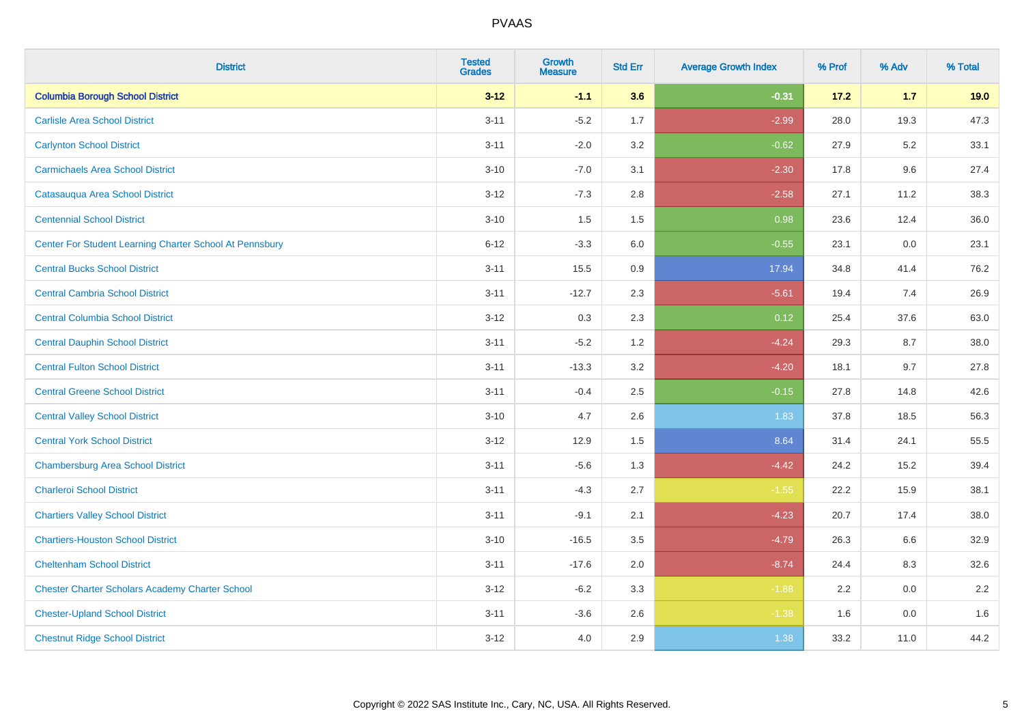| <b>District</b>                                         | <b>Tested</b><br><b>Grades</b> | Growth<br><b>Measure</b> | <b>Std Err</b> | <b>Average Growth Index</b> | % Prof | % Adv   | % Total |
|---------------------------------------------------------|--------------------------------|--------------------------|----------------|-----------------------------|--------|---------|---------|
| <b>Columbia Borough School District</b>                 | $3 - 12$                       | $-1.1$                   | 3.6            | $-0.31$                     | 17.2   | $1.7$   | 19.0    |
| <b>Carlisle Area School District</b>                    | $3 - 11$                       | $-5.2$                   | 1.7            | $-2.99$                     | 28.0   | 19.3    | 47.3    |
| <b>Carlynton School District</b>                        | $3 - 11$                       | $-2.0$                   | 3.2            | $-0.62$                     | 27.9   | 5.2     | 33.1    |
| <b>Carmichaels Area School District</b>                 | $3 - 10$                       | $-7.0$                   | 3.1            | $-2.30$                     | 17.8   | 9.6     | 27.4    |
| Catasauqua Area School District                         | $3-12$                         | $-7.3$                   | 2.8            | $-2.58$                     | 27.1   | 11.2    | 38.3    |
| <b>Centennial School District</b>                       | $3 - 10$                       | 1.5                      | 1.5            | 0.98                        | 23.6   | 12.4    | 36.0    |
| Center For Student Learning Charter School At Pennsbury | $6 - 12$                       | $-3.3$                   | 6.0            | $-0.55$                     | 23.1   | 0.0     | 23.1    |
| <b>Central Bucks School District</b>                    | $3 - 11$                       | 15.5                     | 0.9            | 17.94                       | 34.8   | 41.4    | 76.2    |
| <b>Central Cambria School District</b>                  | $3 - 11$                       | $-12.7$                  | 2.3            | $-5.61$                     | 19.4   | 7.4     | 26.9    |
| <b>Central Columbia School District</b>                 | $3 - 12$                       | 0.3                      | 2.3            | 0.12                        | 25.4   | 37.6    | 63.0    |
| <b>Central Dauphin School District</b>                  | $3 - 11$                       | $-5.2$                   | 1.2            | $-4.24$                     | 29.3   | 8.7     | 38.0    |
| <b>Central Fulton School District</b>                   | $3 - 11$                       | $-13.3$                  | 3.2            | $-4.20$                     | 18.1   | 9.7     | 27.8    |
| <b>Central Greene School District</b>                   | $3 - 11$                       | $-0.4$                   | 2.5            | $-0.15$                     | 27.8   | 14.8    | 42.6    |
| <b>Central Valley School District</b>                   | $3 - 10$                       | 4.7                      | 2.6            | 1.83                        | 37.8   | 18.5    | 56.3    |
| <b>Central York School District</b>                     | $3 - 12$                       | 12.9                     | 1.5            | 8.64                        | 31.4   | 24.1    | 55.5    |
| <b>Chambersburg Area School District</b>                | $3 - 11$                       | $-5.6$                   | 1.3            | $-4.42$                     | 24.2   | 15.2    | 39.4    |
| <b>Charleroi School District</b>                        | $3 - 11$                       | $-4.3$                   | 2.7            | $-1.55$                     | 22.2   | 15.9    | 38.1    |
| <b>Chartiers Valley School District</b>                 | $3 - 11$                       | $-9.1$                   | 2.1            | $-4.23$                     | 20.7   | 17.4    | 38.0    |
| <b>Chartiers-Houston School District</b>                | $3 - 10$                       | $-16.5$                  | 3.5            | $-4.79$                     | 26.3   | 6.6     | 32.9    |
| <b>Cheltenham School District</b>                       | $3 - 11$                       | $-17.6$                  | 2.0            | $-8.74$                     | 24.4   | 8.3     | 32.6    |
| <b>Chester Charter Scholars Academy Charter School</b>  | $3 - 12$                       | $-6.2$                   | 3.3            | $-1.88$                     | 2.2    | 0.0     | 2.2     |
| <b>Chester-Upland School District</b>                   | $3 - 11$                       | $-3.6$                   | 2.6            | $-1.38$                     | 1.6    | $0.0\,$ | 1.6     |
| <b>Chestnut Ridge School District</b>                   | $3-12$                         | 4.0                      | 2.9            | 1.38                        | 33.2   | 11.0    | 44.2    |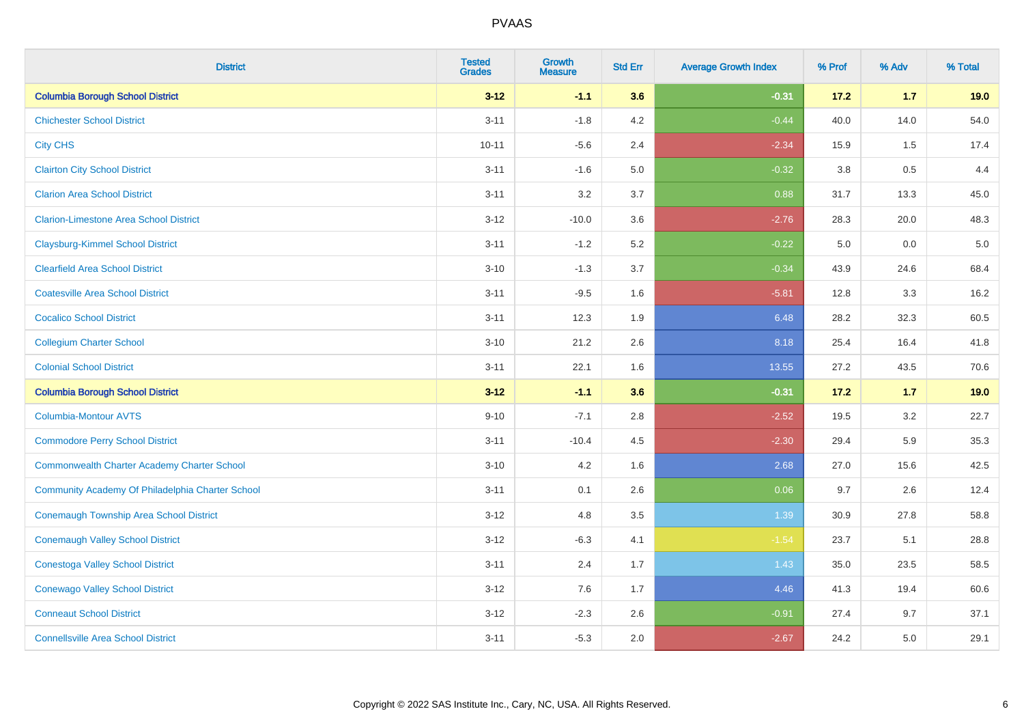| <b>District</b>                                    | <b>Tested</b><br><b>Grades</b> | <b>Growth</b><br><b>Measure</b> | <b>Std Err</b> | <b>Average Growth Index</b> | % Prof | % Adv   | % Total |
|----------------------------------------------------|--------------------------------|---------------------------------|----------------|-----------------------------|--------|---------|---------|
| <b>Columbia Borough School District</b>            | $3 - 12$                       | $-1.1$                          | 3.6            | $-0.31$                     | 17.2   | 1.7     | 19.0    |
| <b>Chichester School District</b>                  | $3 - 11$                       | $-1.8$                          | 4.2            | $-0.44$                     | 40.0   | 14.0    | 54.0    |
| <b>City CHS</b>                                    | $10 - 11$                      | $-5.6$                          | 2.4            | $-2.34$                     | 15.9   | 1.5     | 17.4    |
| <b>Clairton City School District</b>               | $3 - 11$                       | $-1.6$                          | $5.0\,$        | $-0.32$                     | 3.8    | $0.5\,$ | 4.4     |
| <b>Clarion Area School District</b>                | $3 - 11$                       | 3.2                             | 3.7            | 0.88                        | 31.7   | 13.3    | 45.0    |
| <b>Clarion-Limestone Area School District</b>      | $3 - 12$                       | $-10.0$                         | 3.6            | $-2.76$                     | 28.3   | 20.0    | 48.3    |
| <b>Claysburg-Kimmel School District</b>            | $3 - 11$                       | $-1.2$                          | 5.2            | $-0.22$                     | 5.0    | 0.0     | $5.0$   |
| <b>Clearfield Area School District</b>             | $3 - 10$                       | $-1.3$                          | 3.7            | $-0.34$                     | 43.9   | 24.6    | 68.4    |
| <b>Coatesville Area School District</b>            | $3 - 11$                       | $-9.5$                          | 1.6            | $-5.81$                     | 12.8   | 3.3     | 16.2    |
| <b>Cocalico School District</b>                    | $3 - 11$                       | 12.3                            | 1.9            | 6.48                        | 28.2   | 32.3    | 60.5    |
| <b>Collegium Charter School</b>                    | $3 - 10$                       | 21.2                            | 2.6            | 8.18                        | 25.4   | 16.4    | 41.8    |
| <b>Colonial School District</b>                    | $3 - 11$                       | 22.1                            | 1.6            | 13.55                       | 27.2   | 43.5    | 70.6    |
| <b>Columbia Borough School District</b>            | $3 - 12$                       | $-1.1$                          | 3.6            | $-0.31$                     | $17.2$ | 1.7     | 19.0    |
| <b>Columbia-Montour AVTS</b>                       | $9 - 10$                       | $-7.1$                          | 2.8            | $-2.52$                     | 19.5   | 3.2     | 22.7    |
| <b>Commodore Perry School District</b>             | $3 - 11$                       | $-10.4$                         | 4.5            | $-2.30$                     | 29.4   | 5.9     | 35.3    |
| <b>Commonwealth Charter Academy Charter School</b> | $3 - 10$                       | 4.2                             | 1.6            | 2.68                        | 27.0   | 15.6    | 42.5    |
| Community Academy Of Philadelphia Charter School   | $3 - 11$                       | 0.1                             | 2.6            | 0.06                        | 9.7    | 2.6     | 12.4    |
| <b>Conemaugh Township Area School District</b>     | $3 - 12$                       | 4.8                             | 3.5            | 1.39                        | 30.9   | 27.8    | 58.8    |
| <b>Conemaugh Valley School District</b>            | $3 - 12$                       | $-6.3$                          | 4.1            | $-1.54$                     | 23.7   | 5.1     | 28.8    |
| <b>Conestoga Valley School District</b>            | $3 - 11$                       | 2.4                             | 1.7            | 1.43                        | 35.0   | 23.5    | 58.5    |
| <b>Conewago Valley School District</b>             | $3 - 12$                       | 7.6                             | 1.7            | 4.46                        | 41.3   | 19.4    | 60.6    |
| <b>Conneaut School District</b>                    | $3 - 12$                       | $-2.3$                          | 2.6            | $-0.91$                     | 27.4   | 9.7     | 37.1    |
| <b>Connellsville Area School District</b>          | $3 - 11$                       | $-5.3$                          | 2.0            | $-2.67$                     | 24.2   | 5.0     | 29.1    |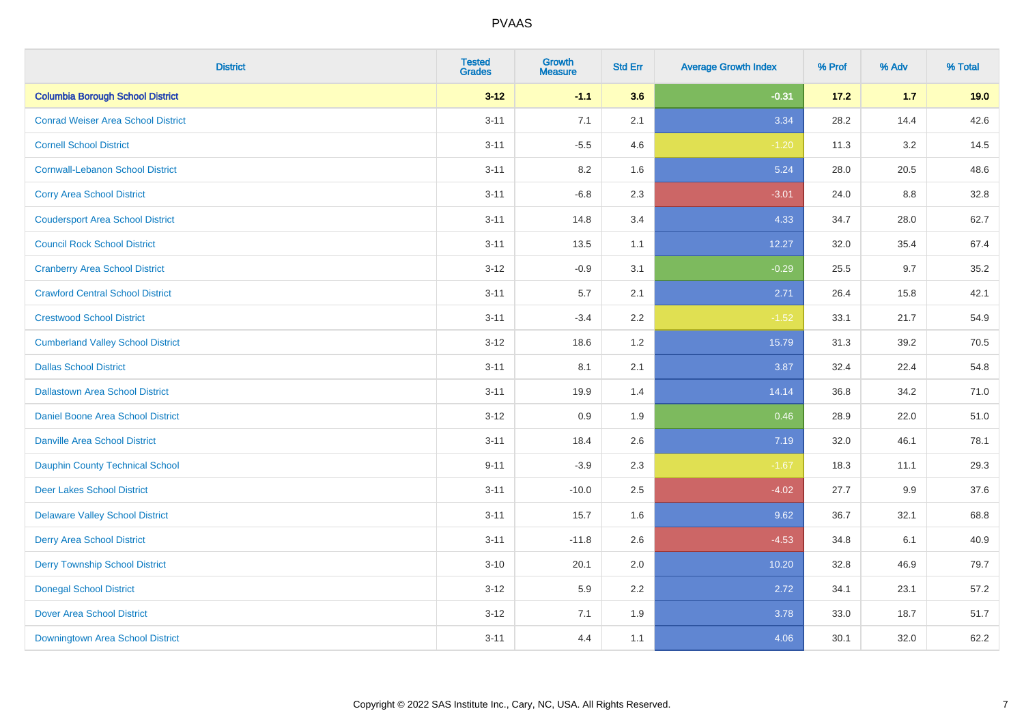| <b>District</b>                           | <b>Tested</b><br><b>Grades</b> | <b>Growth</b><br><b>Measure</b> | <b>Std Err</b> | <b>Average Growth Index</b> | % Prof | % Adv | % Total |
|-------------------------------------------|--------------------------------|---------------------------------|----------------|-----------------------------|--------|-------|---------|
| <b>Columbia Borough School District</b>   | $3 - 12$                       | $-1.1$                          | 3.6            | $-0.31$                     | 17.2   | $1.7$ | 19.0    |
| <b>Conrad Weiser Area School District</b> | $3 - 11$                       | 7.1                             | 2.1            | 3.34                        | 28.2   | 14.4  | 42.6    |
| <b>Cornell School District</b>            | $3 - 11$                       | $-5.5$                          | 4.6            | $-1.20$                     | 11.3   | 3.2   | 14.5    |
| <b>Cornwall-Lebanon School District</b>   | $3 - 11$                       | 8.2                             | 1.6            | 5.24                        | 28.0   | 20.5  | 48.6    |
| <b>Corry Area School District</b>         | $3 - 11$                       | $-6.8$                          | 2.3            | $-3.01$                     | 24.0   | 8.8   | 32.8    |
| <b>Coudersport Area School District</b>   | $3 - 11$                       | 14.8                            | 3.4            | 4.33                        | 34.7   | 28.0  | 62.7    |
| <b>Council Rock School District</b>       | $3 - 11$                       | 13.5                            | 1.1            | 12.27                       | 32.0   | 35.4  | 67.4    |
| <b>Cranberry Area School District</b>     | $3 - 12$                       | $-0.9$                          | 3.1            | $-0.29$                     | 25.5   | 9.7   | 35.2    |
| <b>Crawford Central School District</b>   | $3 - 11$                       | 5.7                             | 2.1            | 2.71                        | 26.4   | 15.8  | 42.1    |
| <b>Crestwood School District</b>          | $3 - 11$                       | $-3.4$                          | 2.2            | $-1.52$                     | 33.1   | 21.7  | 54.9    |
| <b>Cumberland Valley School District</b>  | $3 - 12$                       | 18.6                            | 1.2            | 15.79                       | 31.3   | 39.2  | 70.5    |
| <b>Dallas School District</b>             | $3 - 11$                       | 8.1                             | 2.1            | 3.87                        | 32.4   | 22.4  | 54.8    |
| <b>Dallastown Area School District</b>    | $3 - 11$                       | 19.9                            | 1.4            | 14.14                       | 36.8   | 34.2  | 71.0    |
| <b>Daniel Boone Area School District</b>  | $3 - 12$                       | 0.9                             | 1.9            | 0.46                        | 28.9   | 22.0  | 51.0    |
| <b>Danville Area School District</b>      | $3 - 11$                       | 18.4                            | 2.6            | 7.19                        | 32.0   | 46.1  | 78.1    |
| <b>Dauphin County Technical School</b>    | $9 - 11$                       | $-3.9$                          | 2.3            | $-1.67$                     | 18.3   | 11.1  | 29.3    |
| <b>Deer Lakes School District</b>         | $3 - 11$                       | $-10.0$                         | 2.5            | $-4.02$                     | 27.7   | 9.9   | 37.6    |
| <b>Delaware Valley School District</b>    | $3 - 11$                       | 15.7                            | 1.6            | 9.62                        | 36.7   | 32.1  | 68.8    |
| <b>Derry Area School District</b>         | $3 - 11$                       | $-11.8$                         | 2.6            | $-4.53$                     | 34.8   | 6.1   | 40.9    |
| <b>Derry Township School District</b>     | $3 - 10$                       | 20.1                            | 2.0            | 10.20                       | 32.8   | 46.9  | 79.7    |
| <b>Donegal School District</b>            | $3-12$                         | 5.9                             | 2.2            | 2.72                        | 34.1   | 23.1  | 57.2    |
| <b>Dover Area School District</b>         | $3 - 12$                       | 7.1                             | 1.9            | 3.78                        | 33.0   | 18.7  | 51.7    |
| <b>Downingtown Area School District</b>   | $3 - 11$                       | 4.4                             | 1.1            | 4.06                        | 30.1   | 32.0  | 62.2    |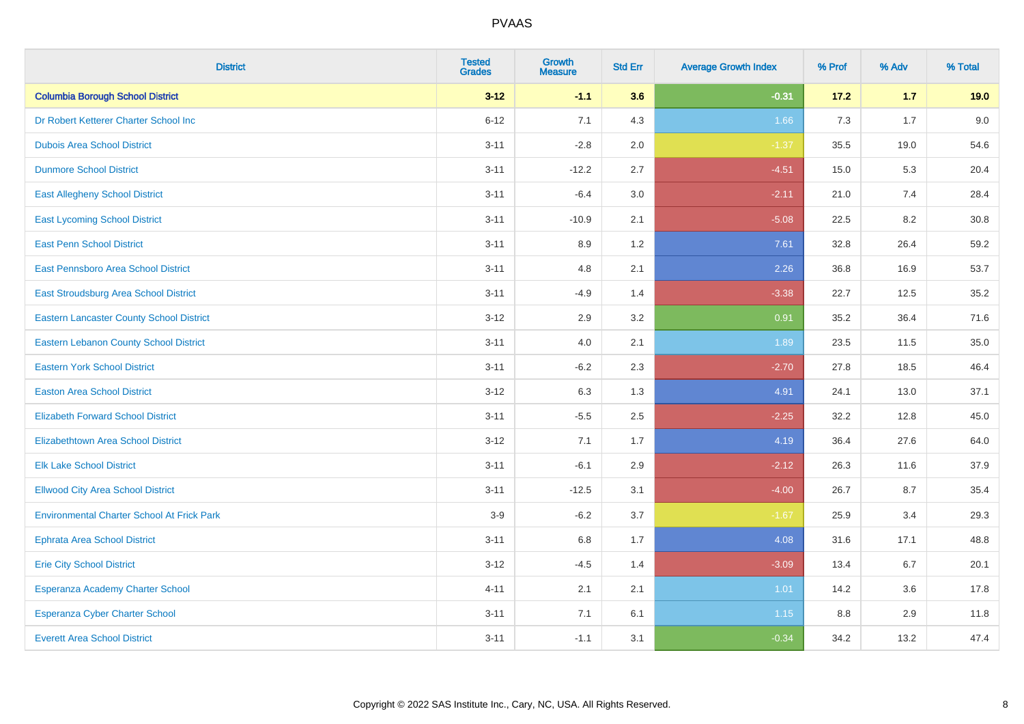| <b>District</b>                                   | <b>Tested</b><br><b>Grades</b> | <b>Growth</b><br><b>Measure</b> | <b>Std Err</b> | <b>Average Growth Index</b> | % Prof | % Adv | % Total |
|---------------------------------------------------|--------------------------------|---------------------------------|----------------|-----------------------------|--------|-------|---------|
| <b>Columbia Borough School District</b>           | $3 - 12$                       | $-1.1$                          | 3.6            | $-0.31$                     | 17.2   | $1.7$ | 19.0    |
| Dr Robert Ketterer Charter School Inc             | $6 - 12$                       | 7.1                             | 4.3            | 1.66                        | 7.3    | 1.7   | 9.0     |
| <b>Dubois Area School District</b>                | $3 - 11$                       | $-2.8$                          | 2.0            | $-1.37$                     | 35.5   | 19.0  | 54.6    |
| <b>Dunmore School District</b>                    | $3 - 11$                       | $-12.2$                         | 2.7            | $-4.51$                     | 15.0   | 5.3   | 20.4    |
| <b>East Allegheny School District</b>             | $3 - 11$                       | $-6.4$                          | 3.0            | $-2.11$                     | 21.0   | 7.4   | 28.4    |
| <b>East Lycoming School District</b>              | $3 - 11$                       | $-10.9$                         | 2.1            | $-5.08$                     | 22.5   | 8.2   | 30.8    |
| <b>East Penn School District</b>                  | $3 - 11$                       | 8.9                             | 1.2            | 7.61                        | 32.8   | 26.4  | 59.2    |
| East Pennsboro Area School District               | $3 - 11$                       | 4.8                             | 2.1            | 2.26                        | 36.8   | 16.9  | 53.7    |
| East Stroudsburg Area School District             | $3 - 11$                       | $-4.9$                          | 1.4            | $-3.38$                     | 22.7   | 12.5  | 35.2    |
| <b>Eastern Lancaster County School District</b>   | $3 - 12$                       | 2.9                             | 3.2            | 0.91                        | 35.2   | 36.4  | 71.6    |
| <b>Eastern Lebanon County School District</b>     | $3 - 11$                       | 4.0                             | 2.1            | 1.89                        | 23.5   | 11.5  | 35.0    |
| <b>Eastern York School District</b>               | $3 - 11$                       | $-6.2$                          | 2.3            | $-2.70$                     | 27.8   | 18.5  | 46.4    |
| <b>Easton Area School District</b>                | $3 - 12$                       | 6.3                             | 1.3            | 4.91                        | 24.1   | 13.0  | 37.1    |
| <b>Elizabeth Forward School District</b>          | $3 - 11$                       | $-5.5$                          | 2.5            | $-2.25$                     | 32.2   | 12.8  | 45.0    |
| <b>Elizabethtown Area School District</b>         | $3 - 12$                       | 7.1                             | 1.7            | 4.19                        | 36.4   | 27.6  | 64.0    |
| <b>Elk Lake School District</b>                   | $3 - 11$                       | $-6.1$                          | 2.9            | $-2.12$                     | 26.3   | 11.6  | 37.9    |
| <b>Ellwood City Area School District</b>          | $3 - 11$                       | $-12.5$                         | 3.1            | $-4.00$                     | 26.7   | 8.7   | 35.4    |
| <b>Environmental Charter School At Frick Park</b> | $3-9$                          | $-6.2$                          | 3.7            | $-1.67$                     | 25.9   | 3.4   | 29.3    |
| <b>Ephrata Area School District</b>               | $3 - 11$                       | $6.8\,$                         | 1.7            | 4.08                        | 31.6   | 17.1  | 48.8    |
| <b>Erie City School District</b>                  | $3 - 12$                       | $-4.5$                          | 1.4            | $-3.09$                     | 13.4   | 6.7   | 20.1    |
| Esperanza Academy Charter School                  | $4 - 11$                       | 2.1                             | 2.1            | 1.01                        | 14.2   | 3.6   | 17.8    |
| Esperanza Cyber Charter School                    | $3 - 11$                       | 7.1                             | 6.1            | 1.15                        | 8.8    | 2.9   | 11.8    |
| <b>Everett Area School District</b>               | $3 - 11$                       | $-1.1$                          | 3.1            | $-0.34$                     | 34.2   | 13.2  | 47.4    |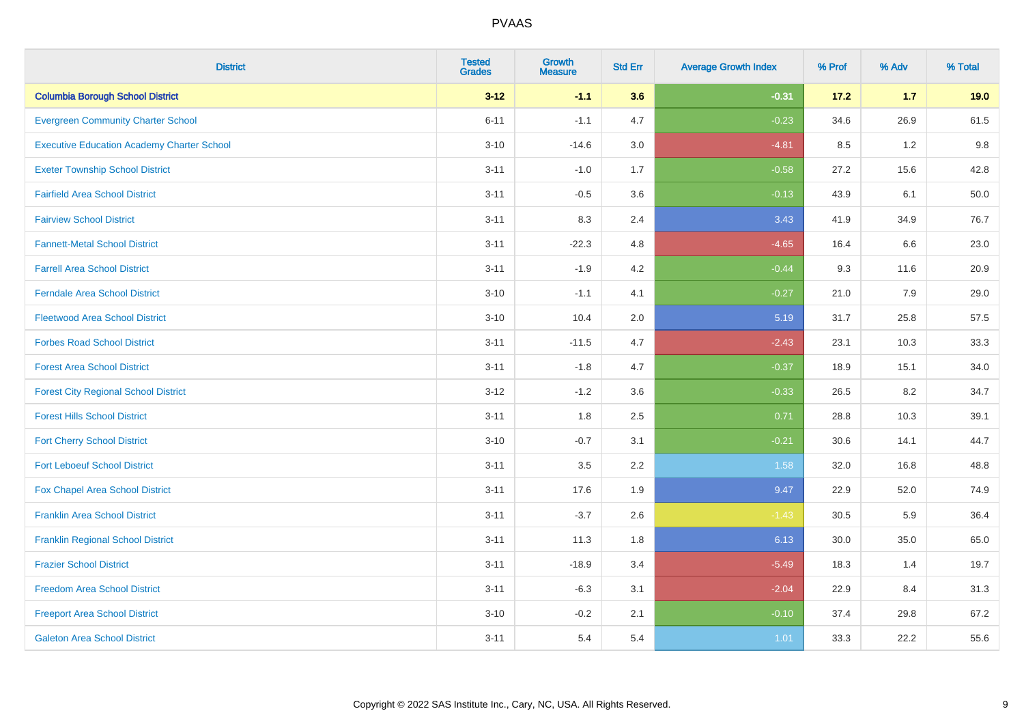| <b>District</b>                                   | <b>Tested</b><br><b>Grades</b> | <b>Growth</b><br><b>Measure</b> | <b>Std Err</b> | <b>Average Growth Index</b> | % Prof | % Adv | % Total |
|---------------------------------------------------|--------------------------------|---------------------------------|----------------|-----------------------------|--------|-------|---------|
| <b>Columbia Borough School District</b>           | $3 - 12$                       | $-1.1$                          | 3.6            | $-0.31$                     | 17.2   | $1.7$ | 19.0    |
| <b>Evergreen Community Charter School</b>         | $6 - 11$                       | $-1.1$                          | 4.7            | $-0.23$                     | 34.6   | 26.9  | 61.5    |
| <b>Executive Education Academy Charter School</b> | $3 - 10$                       | $-14.6$                         | 3.0            | $-4.81$                     | 8.5    | 1.2   | 9.8     |
| <b>Exeter Township School District</b>            | $3 - 11$                       | $-1.0$                          | 1.7            | $-0.58$                     | 27.2   | 15.6  | 42.8    |
| <b>Fairfield Area School District</b>             | $3 - 11$                       | $-0.5$                          | 3.6            | $-0.13$                     | 43.9   | 6.1   | 50.0    |
| <b>Fairview School District</b>                   | $3 - 11$                       | 8.3                             | 2.4            | 3.43                        | 41.9   | 34.9  | 76.7    |
| <b>Fannett-Metal School District</b>              | $3 - 11$                       | $-22.3$                         | 4.8            | $-4.65$                     | 16.4   | 6.6   | 23.0    |
| <b>Farrell Area School District</b>               | $3 - 11$                       | $-1.9$                          | 4.2            | $-0.44$                     | 9.3    | 11.6  | 20.9    |
| <b>Ferndale Area School District</b>              | $3 - 10$                       | $-1.1$                          | 4.1            | $-0.27$                     | 21.0   | 7.9   | 29.0    |
| <b>Fleetwood Area School District</b>             | $3 - 10$                       | 10.4                            | 2.0            | 5.19                        | 31.7   | 25.8  | 57.5    |
| <b>Forbes Road School District</b>                | $3 - 11$                       | $-11.5$                         | 4.7            | $-2.43$                     | 23.1   | 10.3  | 33.3    |
| <b>Forest Area School District</b>                | $3 - 11$                       | $-1.8$                          | 4.7            | $-0.37$                     | 18.9   | 15.1  | 34.0    |
| <b>Forest City Regional School District</b>       | $3 - 12$                       | $-1.2$                          | 3.6            | $-0.33$                     | 26.5   | 8.2   | 34.7    |
| <b>Forest Hills School District</b>               | $3 - 11$                       | 1.8                             | 2.5            | 0.71                        | 28.8   | 10.3  | 39.1    |
| <b>Fort Cherry School District</b>                | $3 - 10$                       | $-0.7$                          | 3.1            | $-0.21$                     | 30.6   | 14.1  | 44.7    |
| <b>Fort Leboeuf School District</b>               | $3 - 11$                       | 3.5                             | 2.2            | 1.58                        | 32.0   | 16.8  | 48.8    |
| Fox Chapel Area School District                   | $3 - 11$                       | 17.6                            | 1.9            | 9.47                        | 22.9   | 52.0  | 74.9    |
| <b>Franklin Area School District</b>              | $3 - 11$                       | $-3.7$                          | 2.6            | $-1.43$                     | 30.5   | 5.9   | 36.4    |
| <b>Franklin Regional School District</b>          | $3 - 11$                       | 11.3                            | 1.8            | 6.13                        | 30.0   | 35.0  | 65.0    |
| <b>Frazier School District</b>                    | $3 - 11$                       | $-18.9$                         | 3.4            | $-5.49$                     | 18.3   | 1.4   | 19.7    |
| <b>Freedom Area School District</b>               | $3 - 11$                       | $-6.3$                          | 3.1            | $-2.04$                     | 22.9   | 8.4   | 31.3    |
| <b>Freeport Area School District</b>              | $3 - 10$                       | $-0.2$                          | 2.1            | $-0.10$                     | 37.4   | 29.8  | 67.2    |
| <b>Galeton Area School District</b>               | $3 - 11$                       | 5.4                             | 5.4            | 1.01                        | 33.3   | 22.2  | 55.6    |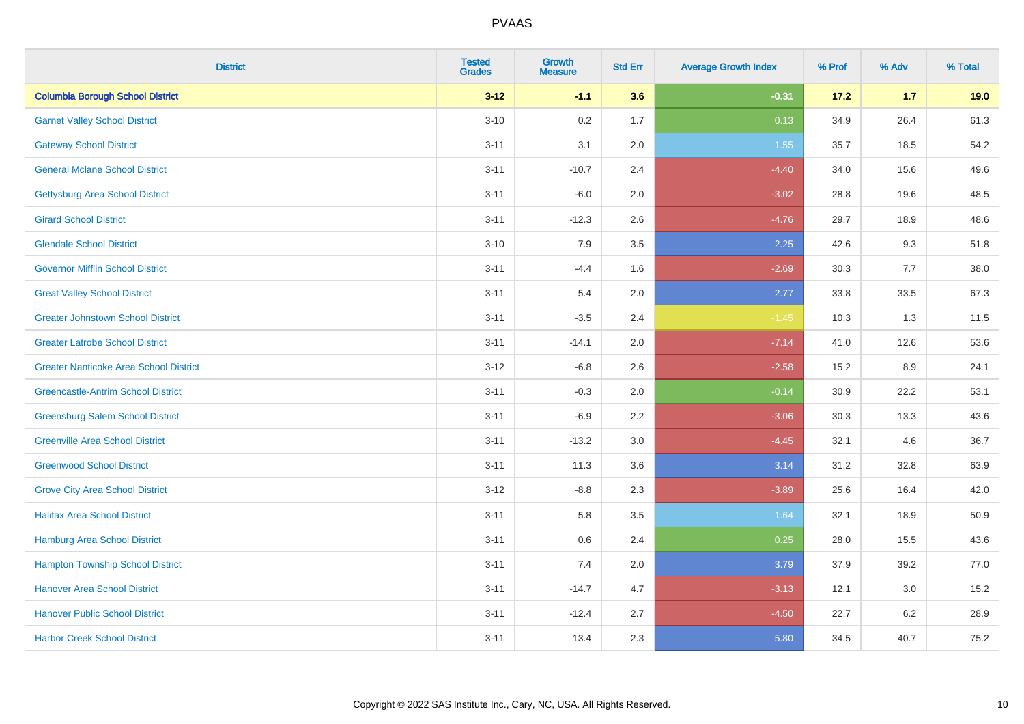| <b>District</b>                               | <b>Tested</b><br><b>Grades</b> | Growth<br><b>Measure</b> | <b>Std Err</b> | <b>Average Growth Index</b> | % Prof | % Adv   | % Total |
|-----------------------------------------------|--------------------------------|--------------------------|----------------|-----------------------------|--------|---------|---------|
| <b>Columbia Borough School District</b>       | $3 - 12$                       | $-1.1$                   | 3.6            | $-0.31$                     | 17.2   | $1.7$   | 19.0    |
| <b>Garnet Valley School District</b>          | $3 - 10$                       | 0.2                      | 1.7            | 0.13                        | 34.9   | 26.4    | 61.3    |
| <b>Gateway School District</b>                | $3 - 11$                       | 3.1                      | 2.0            | 1.55                        | 35.7   | 18.5    | 54.2    |
| <b>General Mclane School District</b>         | $3 - 11$                       | $-10.7$                  | 2.4            | $-4.40$                     | 34.0   | 15.6    | 49.6    |
| <b>Gettysburg Area School District</b>        | $3 - 11$                       | $-6.0$                   | 2.0            | $-3.02$                     | 28.8   | 19.6    | 48.5    |
| <b>Girard School District</b>                 | $3 - 11$                       | $-12.3$                  | 2.6            | $-4.76$                     | 29.7   | 18.9    | 48.6    |
| <b>Glendale School District</b>               | $3 - 10$                       | 7.9                      | 3.5            | 2.25                        | 42.6   | 9.3     | 51.8    |
| <b>Governor Mifflin School District</b>       | $3 - 11$                       | $-4.4$                   | 1.6            | $-2.69$                     | 30.3   | 7.7     | 38.0    |
| <b>Great Valley School District</b>           | $3 - 11$                       | 5.4                      | 2.0            | 2.77                        | 33.8   | 33.5    | 67.3    |
| <b>Greater Johnstown School District</b>      | $3 - 11$                       | $-3.5$                   | 2.4            | $-1.45$                     | 10.3   | 1.3     | 11.5    |
| <b>Greater Latrobe School District</b>        | $3 - 11$                       | $-14.1$                  | 2.0            | $-7.14$                     | 41.0   | 12.6    | 53.6    |
| <b>Greater Nanticoke Area School District</b> | $3-12$                         | $-6.8$                   | 2.6            | $-2.58$                     | 15.2   | 8.9     | 24.1    |
| <b>Greencastle-Antrim School District</b>     | $3 - 11$                       | $-0.3$                   | 2.0            | $-0.14$                     | 30.9   | 22.2    | 53.1    |
| <b>Greensburg Salem School District</b>       | $3 - 11$                       | $-6.9$                   | 2.2            | $-3.06$                     | 30.3   | 13.3    | 43.6    |
| <b>Greenville Area School District</b>        | $3 - 11$                       | $-13.2$                  | $3.0\,$        | $-4.45$                     | 32.1   | 4.6     | 36.7    |
| <b>Greenwood School District</b>              | $3 - 11$                       | 11.3                     | 3.6            | 3.14                        | 31.2   | 32.8    | 63.9    |
| <b>Grove City Area School District</b>        | $3 - 12$                       | $-8.8$                   | 2.3            | $-3.89$                     | 25.6   | 16.4    | 42.0    |
| <b>Halifax Area School District</b>           | $3 - 11$                       | 5.8                      | 3.5            | 1.64                        | 32.1   | 18.9    | 50.9    |
| <b>Hamburg Area School District</b>           | $3 - 11$                       | 0.6                      | 2.4            | 0.25                        | 28.0   | 15.5    | 43.6    |
| <b>Hampton Township School District</b>       | $3 - 11$                       | 7.4                      | 2.0            | 3.79                        | 37.9   | 39.2    | 77.0    |
| <b>Hanover Area School District</b>           | $3 - 11$                       | $-14.7$                  | 4.7            | $-3.13$                     | 12.1   | 3.0     | 15.2    |
| <b>Hanover Public School District</b>         | $3 - 11$                       | $-12.4$                  | 2.7            | $-4.50$                     | 22.7   | $6.2\,$ | 28.9    |
| <b>Harbor Creek School District</b>           | $3 - 11$                       | 13.4                     | 2.3            | 5.80                        | 34.5   | 40.7    | 75.2    |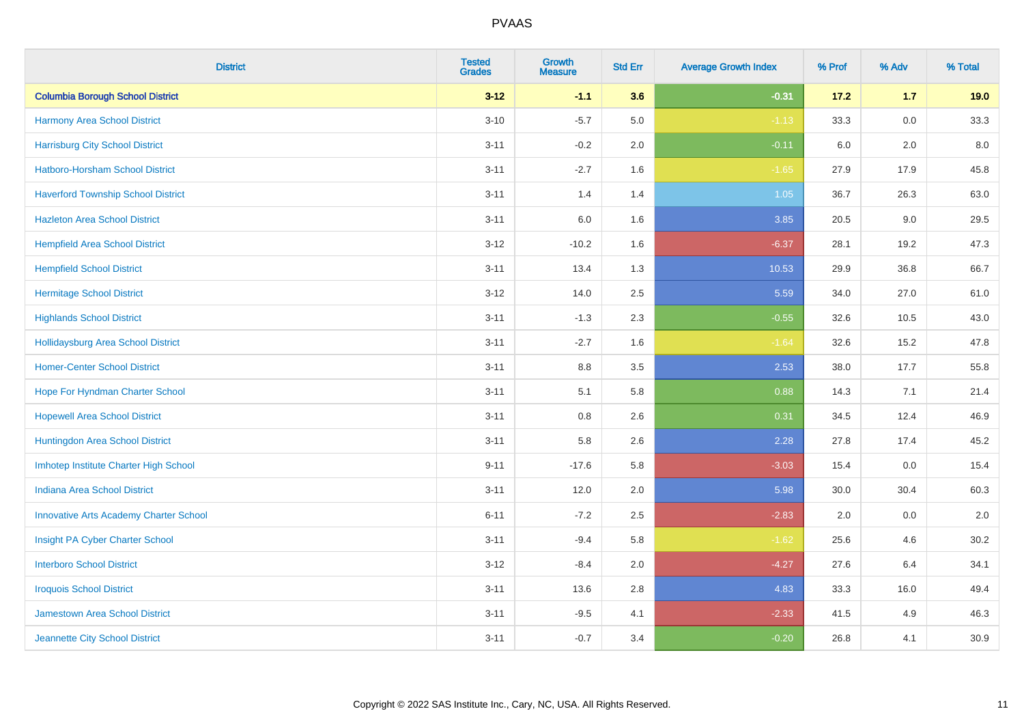| <b>District</b>                               | <b>Tested</b><br><b>Grades</b> | <b>Growth</b><br><b>Measure</b> | <b>Std Err</b> | <b>Average Growth Index</b> | % Prof | % Adv   | % Total |
|-----------------------------------------------|--------------------------------|---------------------------------|----------------|-----------------------------|--------|---------|---------|
| <b>Columbia Borough School District</b>       | $3 - 12$                       | $-1.1$                          | 3.6            | $-0.31$                     | 17.2   | $1.7$   | 19.0    |
| Harmony Area School District                  | $3 - 10$                       | $-5.7$                          | $5.0\,$        | $-1.13$                     | 33.3   | $0.0\,$ | 33.3    |
| <b>Harrisburg City School District</b>        | $3 - 11$                       | $-0.2$                          | 2.0            | $-0.11$                     | 6.0    | 2.0     | 8.0     |
| Hatboro-Horsham School District               | $3 - 11$                       | $-2.7$                          | 1.6            | $-1.65$                     | 27.9   | 17.9    | 45.8    |
| <b>Haverford Township School District</b>     | $3 - 11$                       | 1.4                             | 1.4            | 1.05                        | 36.7   | 26.3    | 63.0    |
| <b>Hazleton Area School District</b>          | $3 - 11$                       | 6.0                             | 1.6            | 3.85                        | 20.5   | 9.0     | 29.5    |
| <b>Hempfield Area School District</b>         | $3 - 12$                       | $-10.2$                         | 1.6            | $-6.37$                     | 28.1   | 19.2    | 47.3    |
| <b>Hempfield School District</b>              | $3 - 11$                       | 13.4                            | 1.3            | 10.53                       | 29.9   | 36.8    | 66.7    |
| <b>Hermitage School District</b>              | $3 - 12$                       | 14.0                            | 2.5            | 5.59                        | 34.0   | 27.0    | 61.0    |
| <b>Highlands School District</b>              | $3 - 11$                       | $-1.3$                          | 2.3            | $-0.55$                     | 32.6   | 10.5    | 43.0    |
| <b>Hollidaysburg Area School District</b>     | $3 - 11$                       | $-2.7$                          | 1.6            | $-1.64$                     | 32.6   | 15.2    | 47.8    |
| <b>Homer-Center School District</b>           | $3 - 11$                       | 8.8                             | 3.5            | 2.53                        | 38.0   | 17.7    | 55.8    |
| Hope For Hyndman Charter School               | $3 - 11$                       | 5.1                             | 5.8            | 0.88                        | 14.3   | 7.1     | 21.4    |
| <b>Hopewell Area School District</b>          | $3 - 11$                       | 0.8                             | 2.6            | 0.31                        | 34.5   | 12.4    | 46.9    |
| Huntingdon Area School District               | $3 - 11$                       | 5.8                             | 2.6            | 2.28                        | 27.8   | 17.4    | 45.2    |
| Imhotep Institute Charter High School         | $9 - 11$                       | $-17.6$                         | 5.8            | $-3.03$                     | 15.4   | $0.0\,$ | 15.4    |
| <b>Indiana Area School District</b>           | $3 - 11$                       | 12.0                            | 2.0            | 5.98                        | 30.0   | 30.4    | 60.3    |
| <b>Innovative Arts Academy Charter School</b> | $6 - 11$                       | $-7.2$                          | 2.5            | $-2.83$                     | 2.0    | 0.0     | 2.0     |
| Insight PA Cyber Charter School               | $3 - 11$                       | $-9.4$                          | 5.8            | $-1.62$                     | 25.6   | 4.6     | 30.2    |
| <b>Interboro School District</b>              | $3 - 12$                       | $-8.4$                          | 2.0            | $-4.27$                     | 27.6   | 6.4     | 34.1    |
| <b>Iroquois School District</b>               | $3 - 11$                       | 13.6                            | 2.8            | 4.83                        | 33.3   | 16.0    | 49.4    |
| <b>Jamestown Area School District</b>         | $3 - 11$                       | $-9.5$                          | 4.1            | $-2.33$                     | 41.5   | 4.9     | 46.3    |
| Jeannette City School District                | $3 - 11$                       | $-0.7$                          | 3.4            | $-0.20$                     | 26.8   | 4.1     | 30.9    |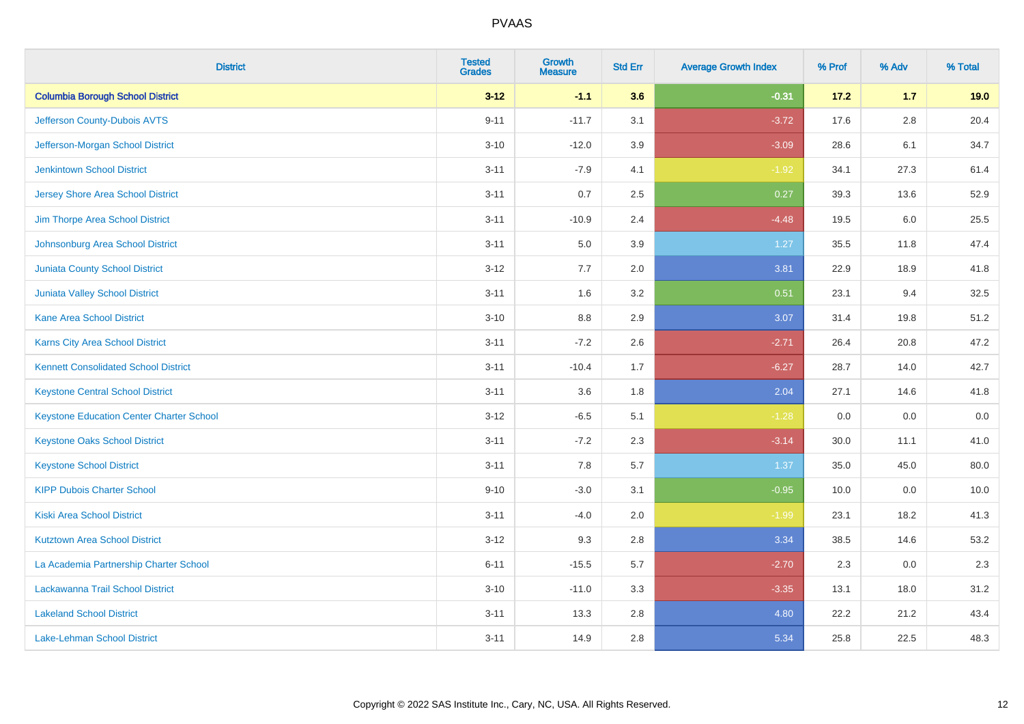| <b>District</b>                                 | <b>Tested</b><br><b>Grades</b> | <b>Growth</b><br><b>Measure</b> | <b>Std Err</b> | <b>Average Growth Index</b> | % Prof | % Adv   | % Total |
|-------------------------------------------------|--------------------------------|---------------------------------|----------------|-----------------------------|--------|---------|---------|
| <b>Columbia Borough School District</b>         | $3 - 12$                       | $-1.1$                          | 3.6            | $-0.31$                     | 17.2   | $1.7$   | 19.0    |
| Jefferson County-Dubois AVTS                    | $9 - 11$                       | $-11.7$                         | 3.1            | $-3.72$                     | 17.6   | $2.8\,$ | 20.4    |
| Jefferson-Morgan School District                | $3 - 10$                       | $-12.0$                         | 3.9            | $-3.09$                     | 28.6   | 6.1     | 34.7    |
| <b>Jenkintown School District</b>               | $3 - 11$                       | $-7.9$                          | 4.1            | $-1.92$                     | 34.1   | 27.3    | 61.4    |
| <b>Jersey Shore Area School District</b>        | $3 - 11$                       | 0.7                             | 2.5            | 0.27                        | 39.3   | 13.6    | 52.9    |
| Jim Thorpe Area School District                 | $3 - 11$                       | $-10.9$                         | 2.4            | $-4.48$                     | 19.5   | 6.0     | 25.5    |
| Johnsonburg Area School District                | $3 - 11$                       | 5.0                             | 3.9            | 1.27                        | 35.5   | 11.8    | 47.4    |
| <b>Juniata County School District</b>           | $3 - 12$                       | 7.7                             | 2.0            | 3.81                        | 22.9   | 18.9    | 41.8    |
| Juniata Valley School District                  | $3 - 11$                       | 1.6                             | 3.2            | 0.51                        | 23.1   | 9.4     | 32.5    |
| <b>Kane Area School District</b>                | $3 - 10$                       | 8.8                             | 2.9            | 3.07                        | 31.4   | 19.8    | 51.2    |
| <b>Karns City Area School District</b>          | $3 - 11$                       | $-7.2$                          | 2.6            | $-2.71$                     | 26.4   | 20.8    | 47.2    |
| <b>Kennett Consolidated School District</b>     | $3 - 11$                       | $-10.4$                         | 1.7            | $-6.27$                     | 28.7   | 14.0    | 42.7    |
| <b>Keystone Central School District</b>         | $3 - 11$                       | 3.6                             | 1.8            | 2.04                        | 27.1   | 14.6    | 41.8    |
| <b>Keystone Education Center Charter School</b> | $3 - 12$                       | $-6.5$                          | 5.1            | $-1.28$                     | 0.0    | 0.0     | $0.0\,$ |
| <b>Keystone Oaks School District</b>            | $3 - 11$                       | $-7.2$                          | 2.3            | $-3.14$                     | 30.0   | 11.1    | 41.0    |
| <b>Keystone School District</b>                 | $3 - 11$                       | 7.8                             | 5.7            | 1.37                        | 35.0   | 45.0    | 80.0    |
| <b>KIPP Dubois Charter School</b>               | $9 - 10$                       | $-3.0$                          | 3.1            | $-0.95$                     | 10.0   | 0.0     | 10.0    |
| Kiski Area School District                      | $3 - 11$                       | $-4.0$                          | 2.0            | $-1.99$                     | 23.1   | 18.2    | 41.3    |
| <b>Kutztown Area School District</b>            | $3-12$                         | 9.3                             | 2.8            | 3.34                        | 38.5   | 14.6    | 53.2    |
| La Academia Partnership Charter School          | $6 - 11$                       | $-15.5$                         | 5.7            | $-2.70$                     | 2.3    | 0.0     | 2.3     |
| Lackawanna Trail School District                | $3 - 10$                       | $-11.0$                         | 3.3            | $-3.35$                     | 13.1   | 18.0    | 31.2    |
| <b>Lakeland School District</b>                 | $3 - 11$                       | 13.3                            | 2.8            | 4.80                        | 22.2   | 21.2    | 43.4    |
| Lake-Lehman School District                     | $3 - 11$                       | 14.9                            | 2.8            | 5.34                        | 25.8   | 22.5    | 48.3    |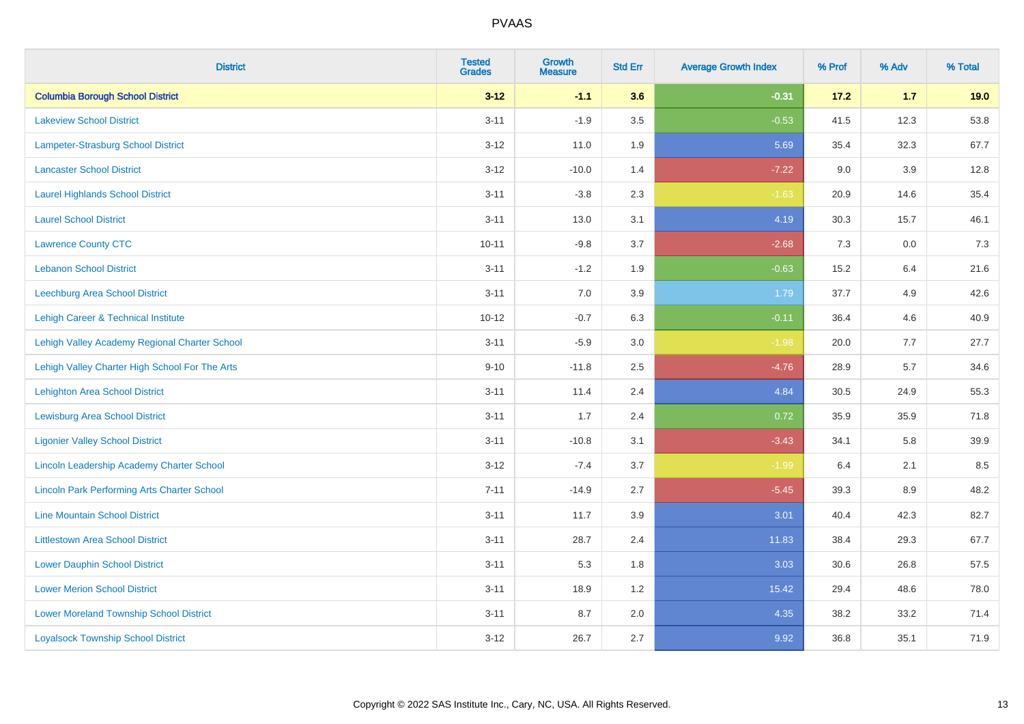| <b>District</b>                                    | <b>Tested</b><br><b>Grades</b> | <b>Growth</b><br><b>Measure</b> | <b>Std Err</b> | <b>Average Growth Index</b> | % Prof | % Adv | % Total |
|----------------------------------------------------|--------------------------------|---------------------------------|----------------|-----------------------------|--------|-------|---------|
| <b>Columbia Borough School District</b>            | $3 - 12$                       | $-1.1$                          | 3.6            | $-0.31$                     | 17.2   | $1.7$ | 19.0    |
| <b>Lakeview School District</b>                    | $3 - 11$                       | $-1.9$                          | 3.5            | $-0.53$                     | 41.5   | 12.3  | 53.8    |
| <b>Lampeter-Strasburg School District</b>          | $3 - 12$                       | 11.0                            | 1.9            | 5.69                        | 35.4   | 32.3  | 67.7    |
| <b>Lancaster School District</b>                   | $3 - 12$                       | $-10.0$                         | 1.4            | $-7.22$                     | 9.0    | 3.9   | 12.8    |
| <b>Laurel Highlands School District</b>            | $3 - 11$                       | $-3.8$                          | 2.3            | $-1.63$                     | 20.9   | 14.6  | 35.4    |
| <b>Laurel School District</b>                      | $3 - 11$                       | 13.0                            | 3.1            | 4.19                        | 30.3   | 15.7  | 46.1    |
| <b>Lawrence County CTC</b>                         | $10 - 11$                      | $-9.8$                          | 3.7            | $-2.68$                     | 7.3    | 0.0   | 7.3     |
| <b>Lebanon School District</b>                     | $3 - 11$                       | $-1.2$                          | 1.9            | $-0.63$                     | 15.2   | 6.4   | 21.6    |
| Leechburg Area School District                     | $3 - 11$                       | 7.0                             | 3.9            | 1.79                        | 37.7   | 4.9   | 42.6    |
| Lehigh Career & Technical Institute                | $10 - 12$                      | $-0.7$                          | 6.3            | $-0.11$                     | 36.4   | 4.6   | 40.9    |
| Lehigh Valley Academy Regional Charter School      | $3 - 11$                       | $-5.9$                          | 3.0            | $-1.98$                     | 20.0   | 7.7   | 27.7    |
| Lehigh Valley Charter High School For The Arts     | $9 - 10$                       | $-11.8$                         | 2.5            | $-4.76$                     | 28.9   | 5.7   | 34.6    |
| <b>Lehighton Area School District</b>              | $3 - 11$                       | 11.4                            | 2.4            | 4.84                        | 30.5   | 24.9  | 55.3    |
| <b>Lewisburg Area School District</b>              | $3 - 11$                       | 1.7                             | 2.4            | 0.72                        | 35.9   | 35.9  | 71.8    |
| <b>Ligonier Valley School District</b>             | $3 - 11$                       | $-10.8$                         | 3.1            | $-3.43$                     | 34.1   | 5.8   | 39.9    |
| <b>Lincoln Leadership Academy Charter School</b>   | $3 - 12$                       | $-7.4$                          | 3.7            | $-1.99$                     | 6.4    | 2.1   | 8.5     |
| <b>Lincoln Park Performing Arts Charter School</b> | $7 - 11$                       | $-14.9$                         | 2.7            | $-5.45$                     | 39.3   | 8.9   | 48.2    |
| <b>Line Mountain School District</b>               | $3 - 11$                       | 11.7                            | 3.9            | 3.01                        | 40.4   | 42.3  | 82.7    |
| <b>Littlestown Area School District</b>            | $3 - 11$                       | 28.7                            | 2.4            | 11.83                       | 38.4   | 29.3  | 67.7    |
| <b>Lower Dauphin School District</b>               | $3 - 11$                       | 5.3                             | 1.8            | 3.03                        | 30.6   | 26.8  | 57.5    |
| <b>Lower Merion School District</b>                | $3 - 11$                       | 18.9                            | 1.2            | 15.42                       | 29.4   | 48.6  | 78.0    |
| <b>Lower Moreland Township School District</b>     | $3 - 11$                       | 8.7                             | 2.0            | 4.35                        | 38.2   | 33.2  | 71.4    |
| <b>Loyalsock Township School District</b>          | $3 - 12$                       | 26.7                            | 2.7            | 9.92                        | 36.8   | 35.1  | 71.9    |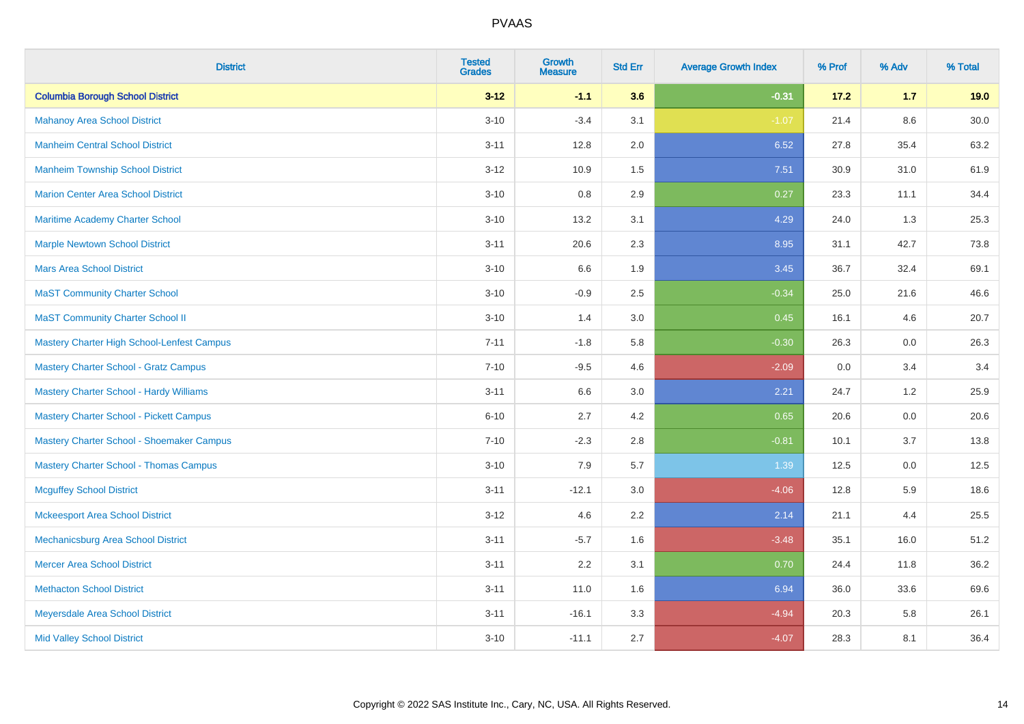| <b>District</b>                                | <b>Tested</b><br><b>Grades</b> | <b>Growth</b><br><b>Measure</b> | <b>Std Err</b> | <b>Average Growth Index</b> | % Prof | % Adv | % Total |
|------------------------------------------------|--------------------------------|---------------------------------|----------------|-----------------------------|--------|-------|---------|
| <b>Columbia Borough School District</b>        | $3 - 12$                       | $-1.1$                          | 3.6            | $-0.31$                     | 17.2   | 1.7   | 19.0    |
| <b>Mahanoy Area School District</b>            | $3 - 10$                       | $-3.4$                          | 3.1            | $-1.07$                     | 21.4   | 8.6   | 30.0    |
| <b>Manheim Central School District</b>         | $3 - 11$                       | 12.8                            | 2.0            | 6.52                        | 27.8   | 35.4  | 63.2    |
| <b>Manheim Township School District</b>        | $3 - 12$                       | 10.9                            | 1.5            | 7.51                        | 30.9   | 31.0  | 61.9    |
| <b>Marion Center Area School District</b>      | $3 - 10$                       | 0.8                             | 2.9            | 0.27                        | 23.3   | 11.1  | 34.4    |
| Maritime Academy Charter School                | $3 - 10$                       | 13.2                            | 3.1            | 4.29                        | 24.0   | 1.3   | 25.3    |
| <b>Marple Newtown School District</b>          | $3 - 11$                       | 20.6                            | 2.3            | 8.95                        | 31.1   | 42.7  | 73.8    |
| <b>Mars Area School District</b>               | $3 - 10$                       | 6.6                             | 1.9            | 3.45                        | 36.7   | 32.4  | 69.1    |
| <b>MaST Community Charter School</b>           | $3 - 10$                       | $-0.9$                          | 2.5            | $-0.34$                     | 25.0   | 21.6  | 46.6    |
| <b>MaST Community Charter School II</b>        | $3 - 10$                       | 1.4                             | 3.0            | 0.45                        | 16.1   | 4.6   | 20.7    |
| Mastery Charter High School-Lenfest Campus     | $7 - 11$                       | $-1.8$                          | 5.8            | $-0.30$                     | 26.3   | 0.0   | 26.3    |
| <b>Mastery Charter School - Gratz Campus</b>   | $7 - 10$                       | $-9.5$                          | 4.6            | $-2.09$                     | 0.0    | 3.4   | 3.4     |
| <b>Mastery Charter School - Hardy Williams</b> | $3 - 11$                       | 6.6                             | 3.0            | 2.21                        | 24.7   | 1.2   | 25.9    |
| <b>Mastery Charter School - Pickett Campus</b> | $6 - 10$                       | 2.7                             | 4.2            | 0.65                        | 20.6   | 0.0   | 20.6    |
| Mastery Charter School - Shoemaker Campus      | $7 - 10$                       | $-2.3$                          | 2.8            | $-0.81$                     | 10.1   | 3.7   | 13.8    |
| <b>Mastery Charter School - Thomas Campus</b>  | $3 - 10$                       | 7.9                             | 5.7            | 1.39                        | 12.5   | 0.0   | 12.5    |
| <b>Mcguffey School District</b>                | $3 - 11$                       | $-12.1$                         | 3.0            | $-4.06$                     | 12.8   | 5.9   | 18.6    |
| <b>Mckeesport Area School District</b>         | $3-12$                         | 4.6                             | 2.2            | 2.14                        | 21.1   | 4.4   | 25.5    |
| Mechanicsburg Area School District             | $3 - 11$                       | $-5.7$                          | 1.6            | $-3.48$                     | 35.1   | 16.0  | 51.2    |
| <b>Mercer Area School District</b>             | $3 - 11$                       | 2.2                             | 3.1            | 0.70                        | 24.4   | 11.8  | 36.2    |
| <b>Methacton School District</b>               | $3 - 11$                       | 11.0                            | 1.6            | 6.94                        | 36.0   | 33.6  | 69.6    |
| Meyersdale Area School District                | $3 - 11$                       | $-16.1$                         | 3.3            | $-4.94$                     | 20.3   | 5.8   | 26.1    |
| <b>Mid Valley School District</b>              | $3 - 10$                       | $-11.1$                         | 2.7            | $-4.07$                     | 28.3   | 8.1   | 36.4    |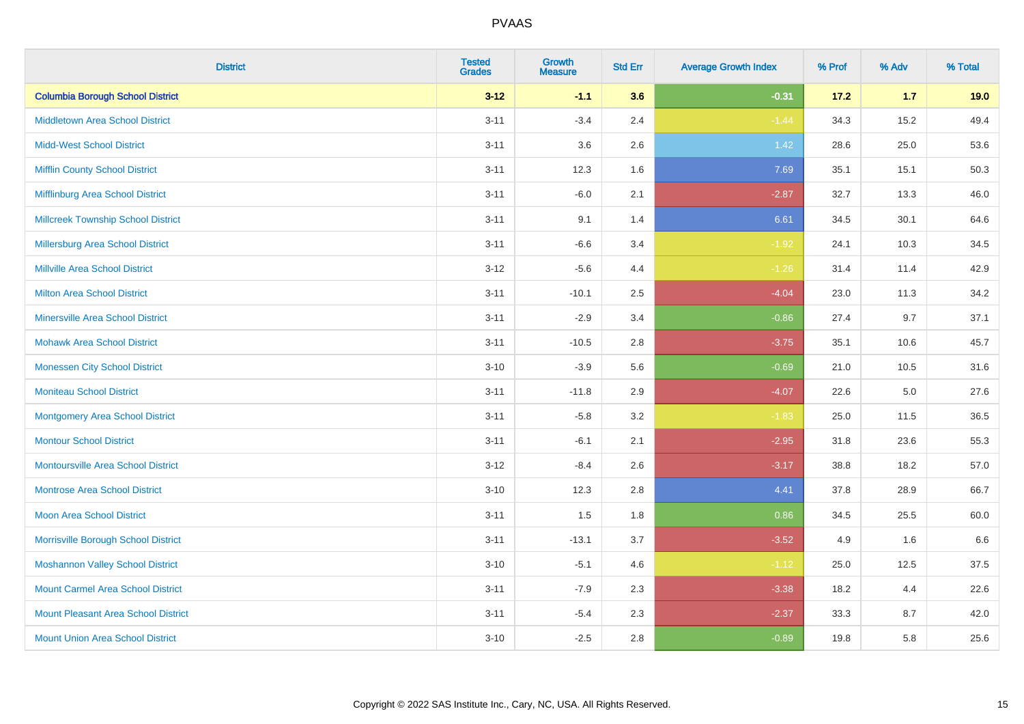| <b>District</b>                            | <b>Tested</b><br><b>Grades</b> | <b>Growth</b><br><b>Measure</b> | <b>Std Err</b> | <b>Average Growth Index</b> | % Prof | % Adv   | % Total |
|--------------------------------------------|--------------------------------|---------------------------------|----------------|-----------------------------|--------|---------|---------|
| <b>Columbia Borough School District</b>    | $3 - 12$                       | $-1.1$                          | 3.6            | $-0.31$                     | 17.2   | $1.7$   | 19.0    |
| <b>Middletown Area School District</b>     | $3 - 11$                       | $-3.4$                          | 2.4            | $-1.44$                     | 34.3   | 15.2    | 49.4    |
| <b>Midd-West School District</b>           | $3 - 11$                       | 3.6                             | 2.6            | 1.42                        | 28.6   | 25.0    | 53.6    |
| <b>Mifflin County School District</b>      | $3 - 11$                       | 12.3                            | 1.6            | 7.69                        | 35.1   | 15.1    | 50.3    |
| Mifflinburg Area School District           | $3 - 11$                       | $-6.0$                          | 2.1            | $-2.87$                     | 32.7   | 13.3    | 46.0    |
| <b>Millcreek Township School District</b>  | $3 - 11$                       | 9.1                             | 1.4            | 6.61                        | 34.5   | 30.1    | 64.6    |
| Millersburg Area School District           | $3 - 11$                       | $-6.6$                          | 3.4            | $-1.92$                     | 24.1   | 10.3    | 34.5    |
| <b>Millville Area School District</b>      | $3 - 12$                       | $-5.6$                          | 4.4            | $-1.26$                     | 31.4   | 11.4    | 42.9    |
| <b>Milton Area School District</b>         | $3 - 11$                       | $-10.1$                         | 2.5            | $-4.04$                     | 23.0   | 11.3    | 34.2    |
| <b>Minersville Area School District</b>    | $3 - 11$                       | $-2.9$                          | 3.4            | $-0.86$                     | 27.4   | 9.7     | 37.1    |
| <b>Mohawk Area School District</b>         | $3 - 11$                       | $-10.5$                         | 2.8            | $-3.75$                     | 35.1   | 10.6    | 45.7    |
| <b>Monessen City School District</b>       | $3 - 10$                       | $-3.9$                          | 5.6            | $-0.69$                     | 21.0   | 10.5    | 31.6    |
| <b>Moniteau School District</b>            | $3 - 11$                       | $-11.8$                         | 2.9            | $-4.07$                     | 22.6   | $5.0\,$ | 27.6    |
| <b>Montgomery Area School District</b>     | $3 - 11$                       | $-5.8$                          | 3.2            | $-1.83$                     | 25.0   | 11.5    | 36.5    |
| <b>Montour School District</b>             | $3 - 11$                       | $-6.1$                          | 2.1            | $-2.95$                     | 31.8   | 23.6    | 55.3    |
| <b>Montoursville Area School District</b>  | $3 - 12$                       | $-8.4$                          | 2.6            | $-3.17$                     | 38.8   | 18.2    | 57.0    |
| <b>Montrose Area School District</b>       | $3 - 10$                       | 12.3                            | 2.8            | 4.41                        | 37.8   | 28.9    | 66.7    |
| <b>Moon Area School District</b>           | $3 - 11$                       | 1.5                             | 1.8            | 0.86                        | 34.5   | 25.5    | 60.0    |
| Morrisville Borough School District        | $3 - 11$                       | $-13.1$                         | 3.7            | $-3.52$                     | 4.9    | 1.6     | 6.6     |
| <b>Moshannon Valley School District</b>    | $3 - 10$                       | $-5.1$                          | 4.6            | $-1.12$                     | 25.0   | 12.5    | 37.5    |
| <b>Mount Carmel Area School District</b>   | $3 - 11$                       | $-7.9$                          | 2.3            | $-3.38$                     | 18.2   | 4.4     | 22.6    |
| <b>Mount Pleasant Area School District</b> | $3 - 11$                       | $-5.4$                          | 2.3            | $-2.37$                     | 33.3   | 8.7     | 42.0    |
| <b>Mount Union Area School District</b>    | $3 - 10$                       | $-2.5$                          | 2.8            | $-0.89$                     | 19.8   | 5.8     | 25.6    |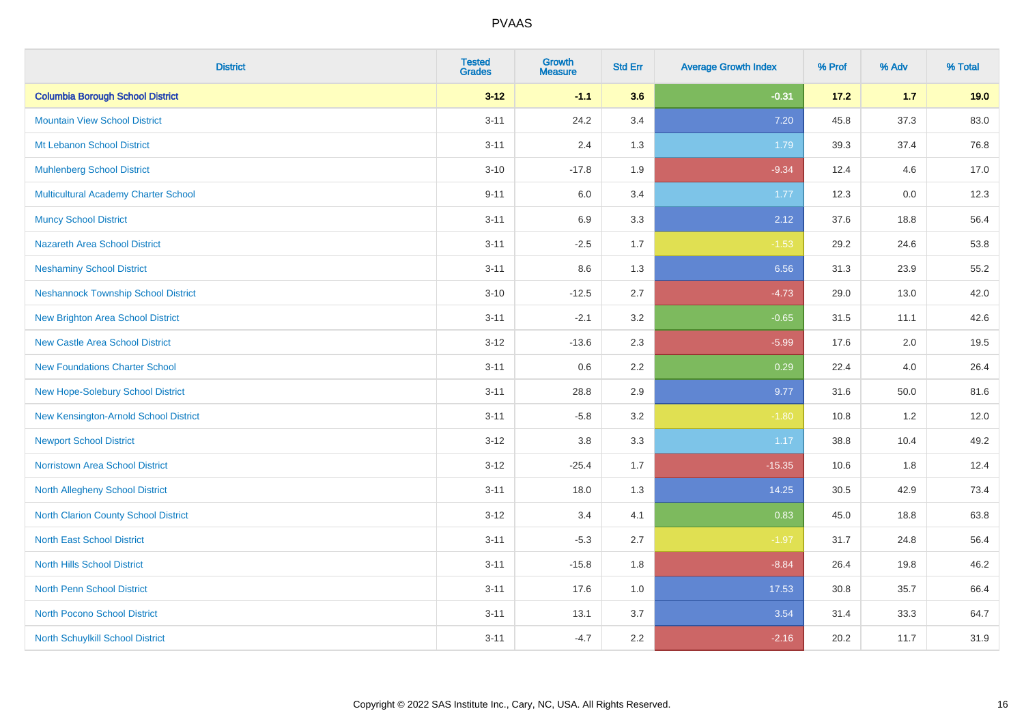| <b>District</b>                             | <b>Tested</b><br><b>Grades</b> | <b>Growth</b><br><b>Measure</b> | <b>Std Err</b> | <b>Average Growth Index</b> | % Prof | % Adv | % Total |
|---------------------------------------------|--------------------------------|---------------------------------|----------------|-----------------------------|--------|-------|---------|
| <b>Columbia Borough School District</b>     | $3 - 12$                       | $-1.1$                          | 3.6            | $-0.31$                     | 17.2   | $1.7$ | 19.0    |
| <b>Mountain View School District</b>        | $3 - 11$                       | 24.2                            | 3.4            | 7.20                        | 45.8   | 37.3  | 83.0    |
| Mt Lebanon School District                  | $3 - 11$                       | 2.4                             | 1.3            | 1.79                        | 39.3   | 37.4  | 76.8    |
| <b>Muhlenberg School District</b>           | $3 - 10$                       | $-17.8$                         | 1.9            | $-9.34$                     | 12.4   | 4.6   | 17.0    |
| <b>Multicultural Academy Charter School</b> | $9 - 11$                       | 6.0                             | 3.4            | 1.77                        | 12.3   | 0.0   | 12.3    |
| <b>Muncy School District</b>                | $3 - 11$                       | 6.9                             | 3.3            | 2.12                        | 37.6   | 18.8  | 56.4    |
| Nazareth Area School District               | $3 - 11$                       | $-2.5$                          | 1.7            | $-1.53$                     | 29.2   | 24.6  | 53.8    |
| <b>Neshaminy School District</b>            | $3 - 11$                       | 8.6                             | 1.3            | 6.56                        | 31.3   | 23.9  | 55.2    |
| <b>Neshannock Township School District</b>  | $3 - 10$                       | $-12.5$                         | 2.7            | $-4.73$                     | 29.0   | 13.0  | 42.0    |
| <b>New Brighton Area School District</b>    | $3 - 11$                       | $-2.1$                          | 3.2            | $-0.65$                     | 31.5   | 11.1  | 42.6    |
| <b>New Castle Area School District</b>      | $3 - 12$                       | $-13.6$                         | 2.3            | $-5.99$                     | 17.6   | 2.0   | 19.5    |
| <b>New Foundations Charter School</b>       | $3 - 11$                       | 0.6                             | 2.2            | 0.29                        | 22.4   | 4.0   | 26.4    |
| New Hope-Solebury School District           | $3 - 11$                       | 28.8                            | 2.9            | 9.77                        | 31.6   | 50.0  | 81.6    |
| New Kensington-Arnold School District       | $3 - 11$                       | $-5.8$                          | 3.2            | $-1.80$                     | 10.8   | 1.2   | 12.0    |
| <b>Newport School District</b>              | $3 - 12$                       | 3.8                             | 3.3            | 1.17                        | 38.8   | 10.4  | 49.2    |
| <b>Norristown Area School District</b>      | $3 - 12$                       | $-25.4$                         | 1.7            | $-15.35$                    | 10.6   | 1.8   | 12.4    |
| North Allegheny School District             | $3 - 11$                       | 18.0                            | 1.3            | 14.25                       | 30.5   | 42.9  | 73.4    |
| North Clarion County School District        | $3 - 12$                       | 3.4                             | 4.1            | 0.83                        | 45.0   | 18.8  | 63.8    |
| <b>North East School District</b>           | $3 - 11$                       | $-5.3$                          | 2.7            | $-1.97$                     | 31.7   | 24.8  | 56.4    |
| North Hills School District                 | $3 - 11$                       | $-15.8$                         | 1.8            | $-8.84$                     | 26.4   | 19.8  | 46.2    |
| <b>North Penn School District</b>           | $3 - 11$                       | 17.6                            | 1.0            | 17.53                       | 30.8   | 35.7  | 66.4    |
| <b>North Pocono School District</b>         | $3 - 11$                       | 13.1                            | 3.7            | 3.54                        | 31.4   | 33.3  | 64.7    |
| North Schuylkill School District            | $3 - 11$                       | $-4.7$                          | 2.2            | $-2.16$                     | 20.2   | 11.7  | 31.9    |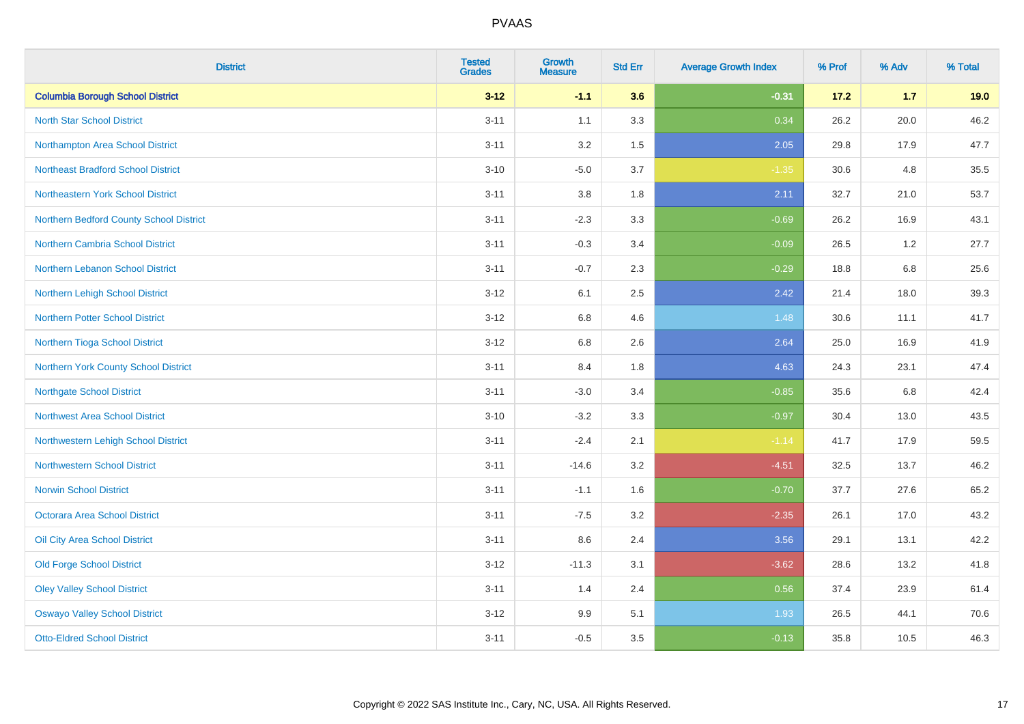| <b>District</b>                           | <b>Tested</b><br><b>Grades</b> | <b>Growth</b><br><b>Measure</b> | <b>Std Err</b> | <b>Average Growth Index</b> | % Prof | % Adv   | % Total |
|-------------------------------------------|--------------------------------|---------------------------------|----------------|-----------------------------|--------|---------|---------|
| <b>Columbia Borough School District</b>   | $3 - 12$                       | $-1.1$                          | 3.6            | $-0.31$                     | 17.2   | $1.7$   | 19.0    |
| <b>North Star School District</b>         | $3 - 11$                       | 1.1                             | 3.3            | 0.34                        | 26.2   | 20.0    | 46.2    |
| Northampton Area School District          | $3 - 11$                       | 3.2                             | 1.5            | 2.05                        | 29.8   | 17.9    | 47.7    |
| <b>Northeast Bradford School District</b> | $3 - 10$                       | $-5.0$                          | 3.7            | $-1.35$                     | 30.6   | 4.8     | 35.5    |
| Northeastern York School District         | $3 - 11$                       | 3.8                             | 1.8            | 2.11                        | 32.7   | 21.0    | 53.7    |
| Northern Bedford County School District   | $3 - 11$                       | $-2.3$                          | 3.3            | $-0.69$                     | 26.2   | 16.9    | 43.1    |
| Northern Cambria School District          | $3 - 11$                       | $-0.3$                          | 3.4            | $-0.09$                     | 26.5   | 1.2     | 27.7    |
| Northern Lebanon School District          | $3 - 11$                       | $-0.7$                          | 2.3            | $-0.29$                     | 18.8   | 6.8     | 25.6    |
| Northern Lehigh School District           | $3 - 12$                       | 6.1                             | 2.5            | 2.42                        | 21.4   | 18.0    | 39.3    |
| Northern Potter School District           | $3 - 12$                       | 6.8                             | 4.6            | 1.48                        | 30.6   | 11.1    | 41.7    |
| Northern Tioga School District            | $3 - 12$                       | 6.8                             | 2.6            | 2.64                        | 25.0   | 16.9    | 41.9    |
| Northern York County School District      | $3 - 11$                       | 8.4                             | 1.8            | 4.63                        | 24.3   | 23.1    | 47.4    |
| <b>Northgate School District</b>          | $3 - 11$                       | $-3.0$                          | 3.4            | $-0.85$                     | 35.6   | $6.8\,$ | 42.4    |
| <b>Northwest Area School District</b>     | $3 - 10$                       | $-3.2$                          | 3.3            | $-0.97$                     | 30.4   | 13.0    | 43.5    |
| Northwestern Lehigh School District       | $3 - 11$                       | $-2.4$                          | 2.1            | $-1.14$                     | 41.7   | 17.9    | 59.5    |
| <b>Northwestern School District</b>       | $3 - 11$                       | $-14.6$                         | 3.2            | $-4.51$                     | 32.5   | 13.7    | 46.2    |
| <b>Norwin School District</b>             | $3 - 11$                       | $-1.1$                          | 1.6            | $-0.70$                     | 37.7   | 27.6    | 65.2    |
| <b>Octorara Area School District</b>      | $3 - 11$                       | $-7.5$                          | 3.2            | $-2.35$                     | 26.1   | 17.0    | 43.2    |
| Oil City Area School District             | $3 - 11$                       | 8.6                             | 2.4            | 3.56                        | 29.1   | 13.1    | 42.2    |
| <b>Old Forge School District</b>          | $3 - 12$                       | $-11.3$                         | 3.1            | $-3.62$                     | 28.6   | 13.2    | 41.8    |
| <b>Oley Valley School District</b>        | $3 - 11$                       | 1.4                             | 2.4            | 0.56                        | 37.4   | 23.9    | 61.4    |
| <b>Oswayo Valley School District</b>      | $3 - 12$                       | 9.9                             | 5.1            | 1.93                        | 26.5   | 44.1    | 70.6    |
| <b>Otto-Eldred School District</b>        | $3 - 11$                       | $-0.5$                          | 3.5            | $-0.13$                     | 35.8   | 10.5    | 46.3    |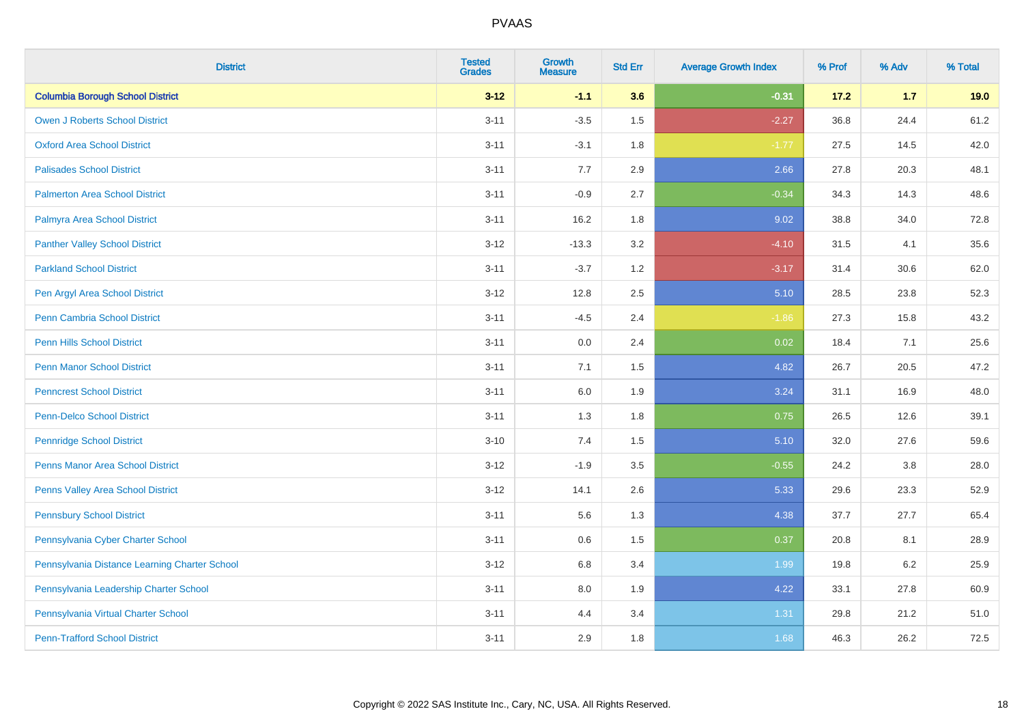| <b>District</b>                               | <b>Tested</b><br><b>Grades</b> | <b>Growth</b><br><b>Measure</b> | <b>Std Err</b> | <b>Average Growth Index</b> | % Prof | % Adv   | % Total |
|-----------------------------------------------|--------------------------------|---------------------------------|----------------|-----------------------------|--------|---------|---------|
| <b>Columbia Borough School District</b>       | $3 - 12$                       | $-1.1$                          | 3.6            | $-0.31$                     | 17.2   | $1.7$   | 19.0    |
| <b>Owen J Roberts School District</b>         | $3 - 11$                       | $-3.5$                          | 1.5            | $-2.27$                     | 36.8   | 24.4    | 61.2    |
| <b>Oxford Area School District</b>            | $3 - 11$                       | $-3.1$                          | 1.8            | $-1.77$                     | 27.5   | 14.5    | 42.0    |
| <b>Palisades School District</b>              | $3 - 11$                       | 7.7                             | 2.9            | 2.66                        | 27.8   | 20.3    | 48.1    |
| <b>Palmerton Area School District</b>         | $3 - 11$                       | $-0.9$                          | 2.7            | $-0.34$                     | 34.3   | 14.3    | 48.6    |
| Palmyra Area School District                  | $3 - 11$                       | 16.2                            | 1.8            | 9.02                        | 38.8   | 34.0    | 72.8    |
| <b>Panther Valley School District</b>         | $3 - 12$                       | $-13.3$                         | 3.2            | $-4.10$                     | 31.5   | 4.1     | 35.6    |
| <b>Parkland School District</b>               | $3 - 11$                       | $-3.7$                          | 1.2            | $-3.17$                     | 31.4   | 30.6    | 62.0    |
| Pen Argyl Area School District                | $3 - 12$                       | 12.8                            | 2.5            | 5.10                        | 28.5   | 23.8    | 52.3    |
| Penn Cambria School District                  | $3 - 11$                       | $-4.5$                          | 2.4            | $-1.86$                     | 27.3   | 15.8    | 43.2    |
| <b>Penn Hills School District</b>             | $3 - 11$                       | 0.0                             | 2.4            | 0.02                        | 18.4   | 7.1     | 25.6    |
| <b>Penn Manor School District</b>             | $3 - 11$                       | 7.1                             | 1.5            | 4.82                        | 26.7   | 20.5    | 47.2    |
| <b>Penncrest School District</b>              | $3 - 11$                       | 6.0                             | 1.9            | 3.24                        | 31.1   | 16.9    | 48.0    |
| <b>Penn-Delco School District</b>             | $3 - 11$                       | 1.3                             | 1.8            | 0.75                        | 26.5   | 12.6    | 39.1    |
| <b>Pennridge School District</b>              | $3 - 10$                       | 7.4                             | 1.5            | 5.10                        | 32.0   | 27.6    | 59.6    |
| <b>Penns Manor Area School District</b>       | $3 - 12$                       | $-1.9$                          | $3.5\,$        | $-0.55$                     | 24.2   | $3.8\,$ | 28.0    |
| Penns Valley Area School District             | $3 - 12$                       | 14.1                            | 2.6            | 5.33                        | 29.6   | 23.3    | 52.9    |
| <b>Pennsbury School District</b>              | $3 - 11$                       | 5.6                             | 1.3            | 4.38                        | 37.7   | 27.7    | 65.4    |
| Pennsylvania Cyber Charter School             | $3 - 11$                       | 0.6                             | 1.5            | 0.37                        | 20.8   | 8.1     | 28.9    |
| Pennsylvania Distance Learning Charter School | $3 - 12$                       | 6.8                             | 3.4            | 1.99                        | 19.8   | 6.2     | 25.9    |
| Pennsylvania Leadership Charter School        | $3 - 11$                       | 8.0                             | 1.9            | 4.22                        | 33.1   | 27.8    | 60.9    |
| Pennsylvania Virtual Charter School           | $3 - 11$                       | 4.4                             | 3.4            | 1.31                        | 29.8   | 21.2    | 51.0    |
| <b>Penn-Trafford School District</b>          | $3 - 11$                       | 2.9                             | 1.8            | 1.68                        | 46.3   | 26.2    | 72.5    |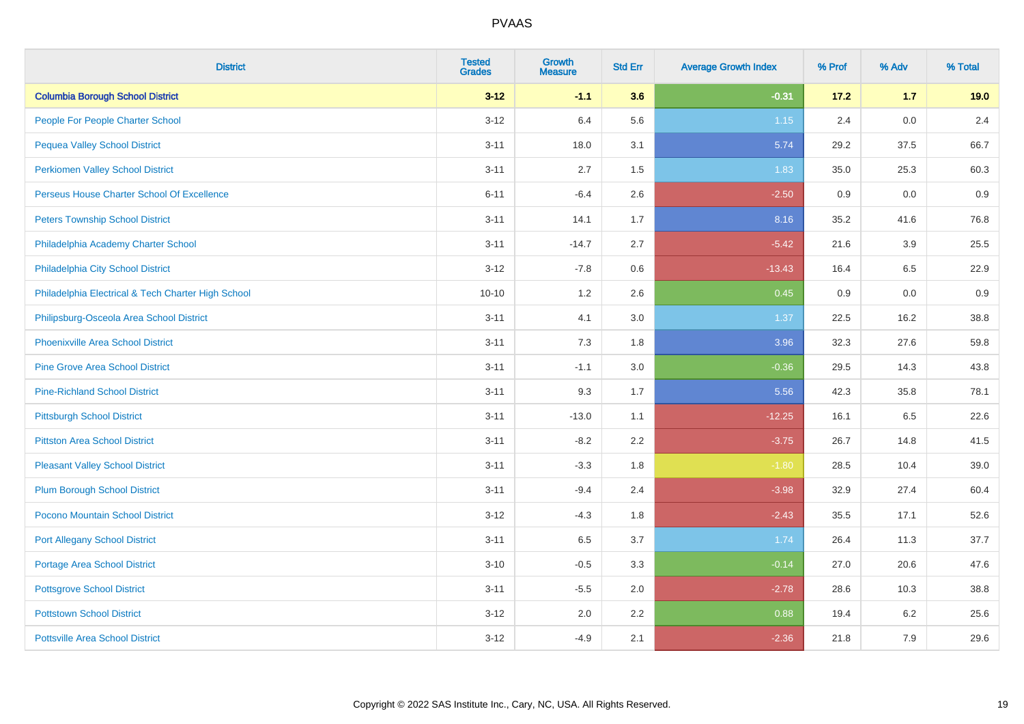| <b>District</b>                                    | <b>Tested</b><br><b>Grades</b> | <b>Growth</b><br><b>Measure</b> | <b>Std Err</b> | <b>Average Growth Index</b> | % Prof | % Adv | % Total |
|----------------------------------------------------|--------------------------------|---------------------------------|----------------|-----------------------------|--------|-------|---------|
| <b>Columbia Borough School District</b>            | $3 - 12$                       | $-1.1$                          | 3.6            | $-0.31$                     | 17.2   | $1.7$ | 19.0    |
| People For People Charter School                   | $3 - 12$                       | 6.4                             | 5.6            | $1.15$                      | 2.4    | 0.0   | 2.4     |
| <b>Pequea Valley School District</b>               | $3 - 11$                       | 18.0                            | 3.1            | 5.74                        | 29.2   | 37.5  | 66.7    |
| <b>Perkiomen Valley School District</b>            | $3 - 11$                       | 2.7                             | 1.5            | 1.83                        | 35.0   | 25.3  | 60.3    |
| Perseus House Charter School Of Excellence         | $6 - 11$                       | $-6.4$                          | 2.6            | $-2.50$                     | 0.9    | 0.0   | 0.9     |
| <b>Peters Township School District</b>             | $3 - 11$                       | 14.1                            | 1.7            | 8.16                        | 35.2   | 41.6  | 76.8    |
| Philadelphia Academy Charter School                | $3 - 11$                       | $-14.7$                         | 2.7            | $-5.42$                     | 21.6   | 3.9   | 25.5    |
| Philadelphia City School District                  | $3 - 12$                       | $-7.8$                          | 0.6            | $-13.43$                    | 16.4   | 6.5   | 22.9    |
| Philadelphia Electrical & Tech Charter High School | $10 - 10$                      | 1.2                             | 2.6            | 0.45                        | 0.9    | 0.0   | 0.9     |
| Philipsburg-Osceola Area School District           | $3 - 11$                       | 4.1                             | 3.0            | 1.37                        | 22.5   | 16.2  | 38.8    |
| <b>Phoenixville Area School District</b>           | $3 - 11$                       | 7.3                             | 1.8            | 3.96                        | 32.3   | 27.6  | 59.8    |
| <b>Pine Grove Area School District</b>             | $3 - 11$                       | $-1.1$                          | 3.0            | $-0.36$                     | 29.5   | 14.3  | 43.8    |
| <b>Pine-Richland School District</b>               | $3 - 11$                       | 9.3                             | 1.7            | 5.56                        | 42.3   | 35.8  | 78.1    |
| <b>Pittsburgh School District</b>                  | $3 - 11$                       | $-13.0$                         | 1.1            | $-12.25$                    | 16.1   | 6.5   | 22.6    |
| <b>Pittston Area School District</b>               | $3 - 11$                       | $-8.2$                          | 2.2            | $-3.75$                     | 26.7   | 14.8  | 41.5    |
| <b>Pleasant Valley School District</b>             | $3 - 11$                       | $-3.3$                          | 1.8            | $-1.80$                     | 28.5   | 10.4  | 39.0    |
| <b>Plum Borough School District</b>                | $3 - 11$                       | $-9.4$                          | 2.4            | $-3.98$                     | 32.9   | 27.4  | 60.4    |
| Pocono Mountain School District                    | $3 - 12$                       | $-4.3$                          | 1.8            | $-2.43$                     | 35.5   | 17.1  | 52.6    |
| <b>Port Allegany School District</b>               | $3 - 11$                       | 6.5                             | 3.7            | 1.74                        | 26.4   | 11.3  | 37.7    |
| <b>Portage Area School District</b>                | $3 - 10$                       | $-0.5$                          | 3.3            | $-0.14$                     | 27.0   | 20.6  | 47.6    |
| <b>Pottsgrove School District</b>                  | $3 - 11$                       | $-5.5$                          | 2.0            | $-2.78$                     | 28.6   | 10.3  | 38.8    |
| <b>Pottstown School District</b>                   | $3 - 12$                       | 2.0                             | 2.2            | 0.88                        | 19.4   | 6.2   | 25.6    |
| <b>Pottsville Area School District</b>             | $3 - 12$                       | $-4.9$                          | 2.1            | $-2.36$                     | 21.8   | 7.9   | 29.6    |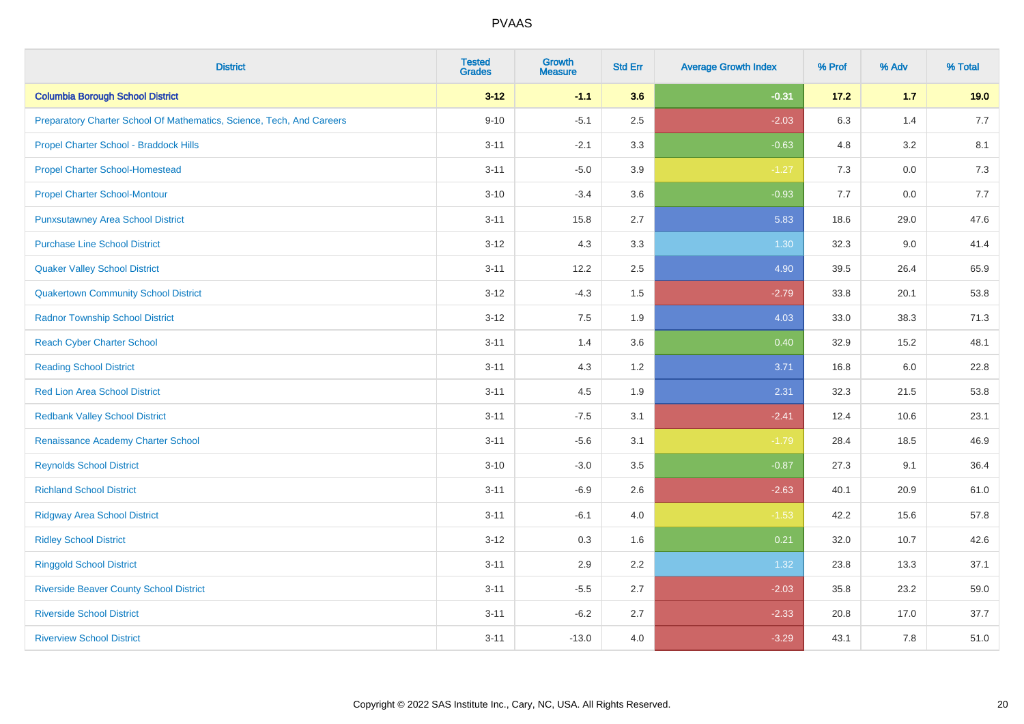| <b>District</b>                                                       | <b>Tested</b><br><b>Grades</b> | <b>Growth</b><br><b>Measure</b> | <b>Std Err</b> | <b>Average Growth Index</b> | % Prof | % Adv   | % Total |
|-----------------------------------------------------------------------|--------------------------------|---------------------------------|----------------|-----------------------------|--------|---------|---------|
| <b>Columbia Borough School District</b>                               | $3 - 12$                       | $-1.1$                          | 3.6            | $-0.31$                     | 17.2   | $1.7$   | 19.0    |
| Preparatory Charter School Of Mathematics, Science, Tech, And Careers | $9 - 10$                       | $-5.1$                          | 2.5            | $-2.03$                     | 6.3    | 1.4     | 7.7     |
| Propel Charter School - Braddock Hills                                | $3 - 11$                       | $-2.1$                          | 3.3            | $-0.63$                     | 4.8    | 3.2     | 8.1     |
| <b>Propel Charter School-Homestead</b>                                | $3 - 11$                       | $-5.0$                          | 3.9            | $-1.27$                     | 7.3    | $0.0\,$ | 7.3     |
| <b>Propel Charter School-Montour</b>                                  | $3 - 10$                       | $-3.4$                          | 3.6            | $-0.93$                     | 7.7    | 0.0     | 7.7     |
| <b>Punxsutawney Area School District</b>                              | $3 - 11$                       | 15.8                            | 2.7            | 5.83                        | 18.6   | 29.0    | 47.6    |
| <b>Purchase Line School District</b>                                  | $3 - 12$                       | 4.3                             | 3.3            | 1.30                        | 32.3   | 9.0     | 41.4    |
| <b>Quaker Valley School District</b>                                  | $3 - 11$                       | 12.2                            | 2.5            | 4.90                        | 39.5   | 26.4    | 65.9    |
| <b>Quakertown Community School District</b>                           | $3 - 12$                       | $-4.3$                          | 1.5            | $-2.79$                     | 33.8   | 20.1    | 53.8    |
| <b>Radnor Township School District</b>                                | $3 - 12$                       | 7.5                             | 1.9            | 4.03                        | 33.0   | 38.3    | 71.3    |
| <b>Reach Cyber Charter School</b>                                     | $3 - 11$                       | 1.4                             | 3.6            | 0.40                        | 32.9   | 15.2    | 48.1    |
| <b>Reading School District</b>                                        | $3 - 11$                       | 4.3                             | 1.2            | 3.71                        | 16.8   | 6.0     | 22.8    |
| <b>Red Lion Area School District</b>                                  | $3 - 11$                       | 4.5                             | 1.9            | 2.31                        | 32.3   | 21.5    | 53.8    |
| <b>Redbank Valley School District</b>                                 | $3 - 11$                       | $-7.5$                          | 3.1            | $-2.41$                     | 12.4   | 10.6    | 23.1    |
| Renaissance Academy Charter School                                    | $3 - 11$                       | $-5.6$                          | 3.1            | $-1.79$                     | 28.4   | 18.5    | 46.9    |
| <b>Reynolds School District</b>                                       | $3 - 10$                       | $-3.0$                          | 3.5            | $-0.87$                     | 27.3   | 9.1     | 36.4    |
| <b>Richland School District</b>                                       | $3 - 11$                       | $-6.9$                          | 2.6            | $-2.63$                     | 40.1   | 20.9    | 61.0    |
| <b>Ridgway Area School District</b>                                   | $3 - 11$                       | $-6.1$                          | 4.0            | $-1.53$                     | 42.2   | 15.6    | 57.8    |
| <b>Ridley School District</b>                                         | $3 - 12$                       | 0.3                             | 1.6            | 0.21                        | 32.0   | 10.7    | 42.6    |
| <b>Ringgold School District</b>                                       | $3 - 11$                       | 2.9                             | 2.2            | 1.32                        | 23.8   | 13.3    | 37.1    |
| <b>Riverside Beaver County School District</b>                        | $3 - 11$                       | $-5.5$                          | 2.7            | $-2.03$                     | 35.8   | 23.2    | 59.0    |
| <b>Riverside School District</b>                                      | $3 - 11$                       | $-6.2$                          | 2.7            | $-2.33$                     | 20.8   | 17.0    | 37.7    |
| <b>Riverview School District</b>                                      | $3 - 11$                       | $-13.0$                         | 4.0            | $-3.29$                     | 43.1   | 7.8     | 51.0    |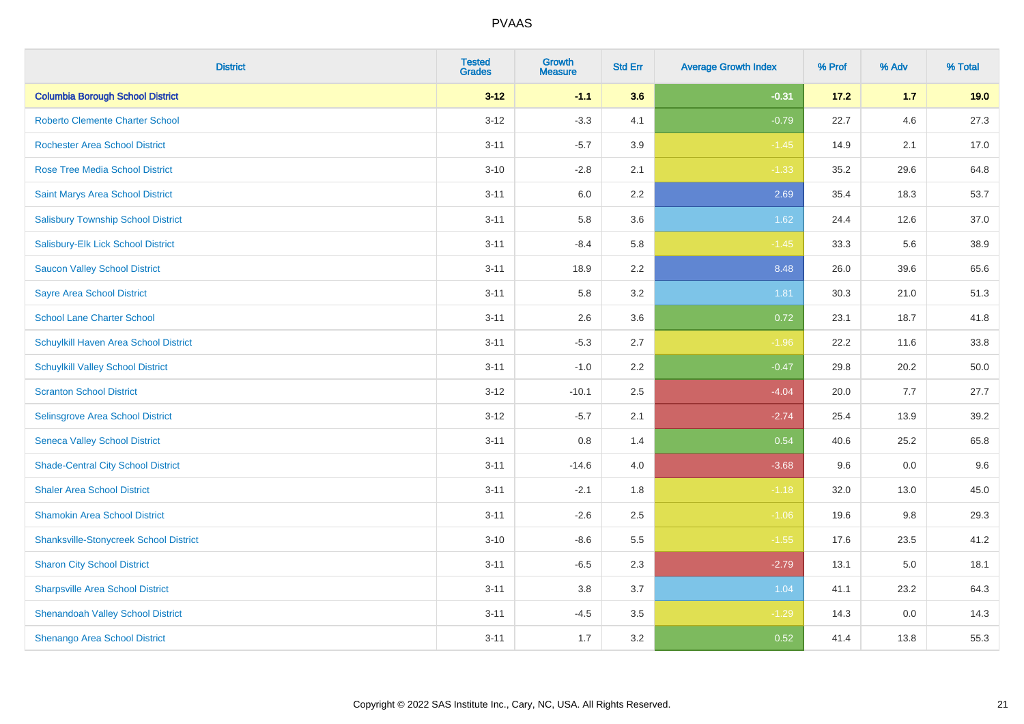| <b>District</b>                               | <b>Tested</b><br><b>Grades</b> | <b>Growth</b><br><b>Measure</b> | <b>Std Err</b> | <b>Average Growth Index</b> | % Prof | % Adv | % Total |
|-----------------------------------------------|--------------------------------|---------------------------------|----------------|-----------------------------|--------|-------|---------|
| <b>Columbia Borough School District</b>       | $3 - 12$                       | $-1.1$                          | 3.6            | $-0.31$                     | 17.2   | $1.7$ | 19.0    |
| <b>Roberto Clemente Charter School</b>        | $3 - 12$                       | $-3.3$                          | 4.1            | $-0.79$                     | 22.7   | 4.6   | 27.3    |
| <b>Rochester Area School District</b>         | $3 - 11$                       | $-5.7$                          | 3.9            | $-1.45$                     | 14.9   | 2.1   | 17.0    |
| <b>Rose Tree Media School District</b>        | $3 - 10$                       | $-2.8$                          | 2.1            | $-1.33$                     | 35.2   | 29.6  | 64.8    |
| <b>Saint Marys Area School District</b>       | $3 - 11$                       | 6.0                             | 2.2            | 2.69                        | 35.4   | 18.3  | 53.7    |
| <b>Salisbury Township School District</b>     | $3 - 11$                       | 5.8                             | 3.6            | 1.62                        | 24.4   | 12.6  | 37.0    |
| Salisbury-Elk Lick School District            | $3 - 11$                       | $-8.4$                          | 5.8            | $-1.45$                     | 33.3   | 5.6   | 38.9    |
| <b>Saucon Valley School District</b>          | $3 - 11$                       | 18.9                            | 2.2            | 8.48                        | 26.0   | 39.6  | 65.6    |
| <b>Sayre Area School District</b>             | $3 - 11$                       | 5.8                             | 3.2            | 1.81                        | 30.3   | 21.0  | 51.3    |
| <b>School Lane Charter School</b>             | $3 - 11$                       | 2.6                             | 3.6            | 0.72                        | 23.1   | 18.7  | 41.8    |
| Schuylkill Haven Area School District         | $3 - 11$                       | $-5.3$                          | 2.7            | $-1.96$                     | 22.2   | 11.6  | 33.8    |
| <b>Schuylkill Valley School District</b>      | $3 - 11$                       | $-1.0$                          | 2.2            | $-0.47$                     | 29.8   | 20.2  | 50.0    |
| <b>Scranton School District</b>               | $3 - 12$                       | $-10.1$                         | 2.5            | $-4.04$                     | 20.0   | 7.7   | 27.7    |
| Selinsgrove Area School District              | $3 - 12$                       | $-5.7$                          | 2.1            | $-2.74$                     | 25.4   | 13.9  | 39.2    |
| <b>Seneca Valley School District</b>          | $3 - 11$                       | 0.8                             | 1.4            | 0.54                        | 40.6   | 25.2  | 65.8    |
| <b>Shade-Central City School District</b>     | $3 - 11$                       | $-14.6$                         | 4.0            | $-3.68$                     | 9.6    | 0.0   | 9.6     |
| <b>Shaler Area School District</b>            | $3 - 11$                       | $-2.1$                          | 1.8            | $-1.18$                     | 32.0   | 13.0  | 45.0    |
| <b>Shamokin Area School District</b>          | $3 - 11$                       | $-2.6$                          | 2.5            | $-1.06$                     | 19.6   | 9.8   | 29.3    |
| <b>Shanksville-Stonycreek School District</b> | $3 - 10$                       | $-8.6$                          | 5.5            | $-1.55$                     | 17.6   | 23.5  | 41.2    |
| <b>Sharon City School District</b>            | $3 - 11$                       | $-6.5$                          | 2.3            | $-2.79$                     | 13.1   | 5.0   | 18.1    |
| <b>Sharpsville Area School District</b>       | $3 - 11$                       | 3.8                             | 3.7            | 1.04                        | 41.1   | 23.2  | 64.3    |
| <b>Shenandoah Valley School District</b>      | $3 - 11$                       | $-4.5$                          | 3.5            | $-1.29$                     | 14.3   | 0.0   | 14.3    |
| Shenango Area School District                 | $3 - 11$                       | 1.7                             | 3.2            | 0.52                        | 41.4   | 13.8  | 55.3    |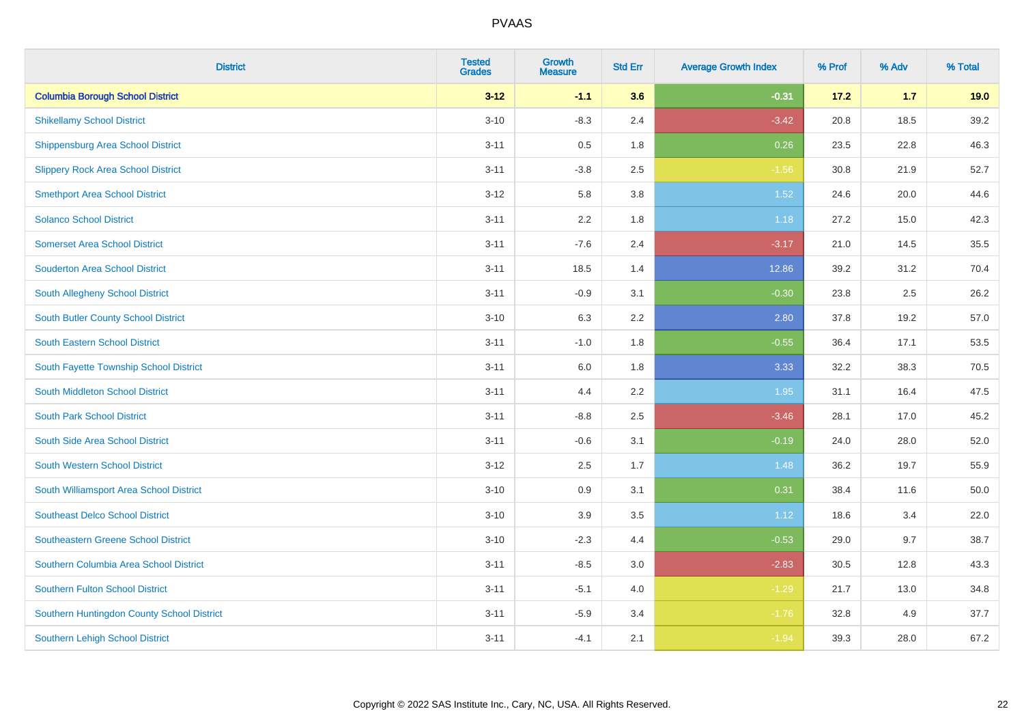| <b>District</b>                            | <b>Tested</b><br><b>Grades</b> | <b>Growth</b><br><b>Measure</b> | <b>Std Err</b> | <b>Average Growth Index</b> | % Prof | % Adv | % Total |
|--------------------------------------------|--------------------------------|---------------------------------|----------------|-----------------------------|--------|-------|---------|
| <b>Columbia Borough School District</b>    | $3 - 12$                       | $-1.1$                          | 3.6            | $-0.31$                     | 17.2   | $1.7$ | 19.0    |
| <b>Shikellamy School District</b>          | $3 - 10$                       | $-8.3$                          | 2.4            | $-3.42$                     | 20.8   | 18.5  | 39.2    |
| <b>Shippensburg Area School District</b>   | $3 - 11$                       | 0.5                             | 1.8            | 0.26                        | 23.5   | 22.8  | 46.3    |
| <b>Slippery Rock Area School District</b>  | $3 - 11$                       | $-3.8$                          | 2.5            | $-1.56$                     | 30.8   | 21.9  | 52.7    |
| <b>Smethport Area School District</b>      | $3 - 12$                       | 5.8                             | 3.8            | $1.52$                      | 24.6   | 20.0  | 44.6    |
| <b>Solanco School District</b>             | $3 - 11$                       | 2.2                             | 1.8            | 1.18                        | 27.2   | 15.0  | 42.3    |
| <b>Somerset Area School District</b>       | $3 - 11$                       | $-7.6$                          | 2.4            | $-3.17$                     | 21.0   | 14.5  | 35.5    |
| <b>Souderton Area School District</b>      | $3 - 11$                       | 18.5                            | 1.4            | 12.86                       | 39.2   | 31.2  | 70.4    |
| South Allegheny School District            | $3 - 11$                       | $-0.9$                          | 3.1            | $-0.30$                     | 23.8   | 2.5   | 26.2    |
| South Butler County School District        | $3 - 10$                       | 6.3                             | 2.2            | 2.80                        | 37.8   | 19.2  | 57.0    |
| South Eastern School District              | $3 - 11$                       | $-1.0$                          | 1.8            | $-0.55$                     | 36.4   | 17.1  | 53.5    |
| South Fayette Township School District     | $3 - 11$                       | 6.0                             | 1.8            | 3.33                        | 32.2   | 38.3  | 70.5    |
| South Middleton School District            | $3 - 11$                       | 4.4                             | 2.2            | 1.95                        | 31.1   | 16.4  | 47.5    |
| <b>South Park School District</b>          | $3 - 11$                       | $-8.8$                          | 2.5            | $-3.46$                     | 28.1   | 17.0  | 45.2    |
| South Side Area School District            | $3 - 11$                       | $-0.6$                          | 3.1            | $-0.19$                     | 24.0   | 28.0  | 52.0    |
| <b>South Western School District</b>       | $3 - 12$                       | 2.5                             | 1.7            | 1.48                        | 36.2   | 19.7  | 55.9    |
| South Williamsport Area School District    | $3 - 10$                       | 0.9                             | 3.1            | 0.31                        | 38.4   | 11.6  | 50.0    |
| <b>Southeast Delco School District</b>     | $3 - 10$                       | 3.9                             | 3.5            | 1.12                        | 18.6   | 3.4   | 22.0    |
| <b>Southeastern Greene School District</b> | $3 - 10$                       | $-2.3$                          | 4.4            | $-0.53$                     | 29.0   | 9.7   | 38.7    |
| Southern Columbia Area School District     | $3 - 11$                       | $-8.5$                          | 3.0            | $-2.83$                     | 30.5   | 12.8  | 43.3    |
| <b>Southern Fulton School District</b>     | $3 - 11$                       | $-5.1$                          | 4.0            | $-1.29$                     | 21.7   | 13.0  | 34.8    |
| Southern Huntingdon County School District | $3 - 11$                       | $-5.9$                          | 3.4            | $-1.76$                     | 32.8   | 4.9   | 37.7    |
| <b>Southern Lehigh School District</b>     | $3 - 11$                       | $-4.1$                          | 2.1            | $-1.94$                     | 39.3   | 28.0  | 67.2    |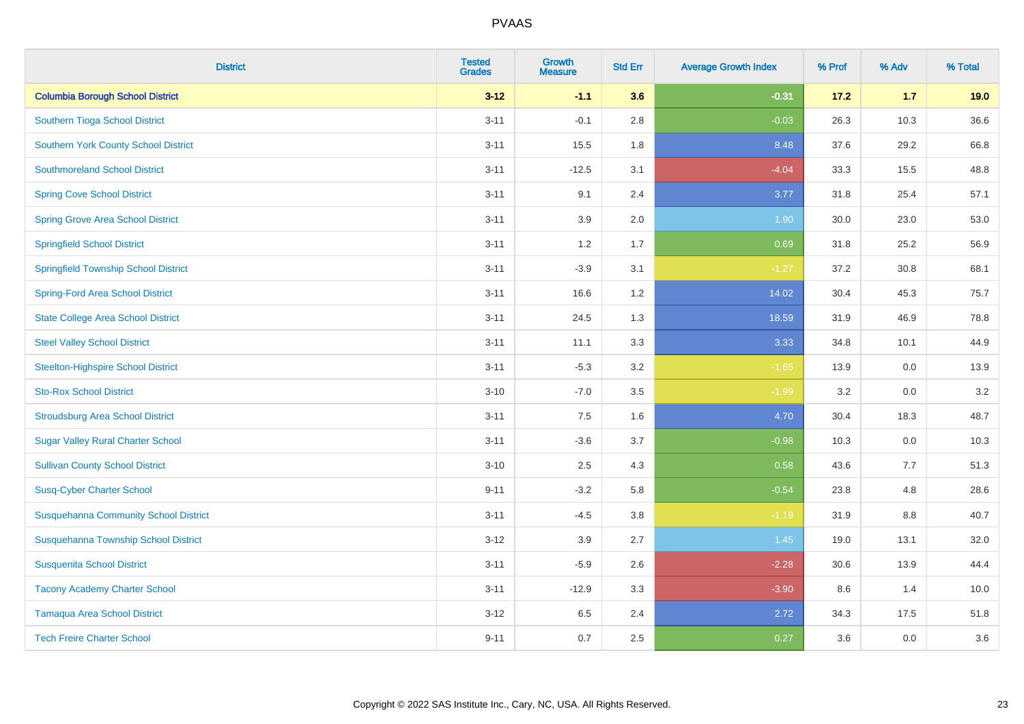| <b>District</b>                              | <b>Tested</b><br><b>Grades</b> | <b>Growth</b><br><b>Measure</b> | <b>Std Err</b> | <b>Average Growth Index</b> | % Prof | % Adv   | % Total |
|----------------------------------------------|--------------------------------|---------------------------------|----------------|-----------------------------|--------|---------|---------|
| <b>Columbia Borough School District</b>      | $3 - 12$                       | $-1.1$                          | 3.6            | $-0.31$                     | 17.2   | $1.7$   | 19.0    |
| Southern Tioga School District               | $3 - 11$                       | $-0.1$                          | 2.8            | $-0.03$                     | 26.3   | 10.3    | 36.6    |
| <b>Southern York County School District</b>  | $3 - 11$                       | 15.5                            | 1.8            | 8.48                        | 37.6   | 29.2    | 66.8    |
| <b>Southmoreland School District</b>         | $3 - 11$                       | $-12.5$                         | 3.1            | $-4.04$                     | 33.3   | 15.5    | 48.8    |
| <b>Spring Cove School District</b>           | $3 - 11$                       | 9.1                             | 2.4            | 3.77                        | 31.8   | 25.4    | 57.1    |
| <b>Spring Grove Area School District</b>     | $3 - 11$                       | 3.9                             | 2.0            | 1.90                        | 30.0   | 23.0    | 53.0    |
| <b>Springfield School District</b>           | $3 - 11$                       | 1.2                             | 1.7            | 0.69                        | 31.8   | 25.2    | 56.9    |
| <b>Springfield Township School District</b>  | $3 - 11$                       | $-3.9$                          | 3.1            | $-1.27$                     | 37.2   | 30.8    | 68.1    |
| <b>Spring-Ford Area School District</b>      | $3 - 11$                       | 16.6                            | 1.2            | 14.02                       | 30.4   | 45.3    | 75.7    |
| <b>State College Area School District</b>    | $3 - 11$                       | 24.5                            | 1.3            | 18.59                       | 31.9   | 46.9    | 78.8    |
| <b>Steel Valley School District</b>          | $3 - 11$                       | 11.1                            | 3.3            | 3.33                        | 34.8   | 10.1    | 44.9    |
| <b>Steelton-Highspire School District</b>    | $3 - 11$                       | $-5.3$                          | 3.2            | $-1.65$                     | 13.9   | 0.0     | 13.9    |
| <b>Sto-Rox School District</b>               | $3 - 10$                       | $-7.0$                          | 3.5            | $-1.99$                     | 3.2    | $0.0\,$ | 3.2     |
| <b>Stroudsburg Area School District</b>      | $3 - 11$                       | 7.5                             | 1.6            | 4.70                        | 30.4   | 18.3    | 48.7    |
| <b>Sugar Valley Rural Charter School</b>     | $3 - 11$                       | $-3.6$                          | 3.7            | $-0.98$                     | 10.3   | 0.0     | 10.3    |
| <b>Sullivan County School District</b>       | $3 - 10$                       | 2.5                             | 4.3            | 0.58                        | 43.6   | 7.7     | 51.3    |
| <b>Susq-Cyber Charter School</b>             | $9 - 11$                       | $-3.2$                          | 5.8            | $-0.54$                     | 23.8   | 4.8     | 28.6    |
| <b>Susquehanna Community School District</b> | $3 - 11$                       | $-4.5$                          | 3.8            | $-1.19$                     | 31.9   | 8.8     | 40.7    |
| Susquehanna Township School District         | $3 - 12$                       | 3.9                             | 2.7            | 1.45                        | 19.0   | 13.1    | 32.0    |
| <b>Susquenita School District</b>            | $3 - 11$                       | $-5.9$                          | 2.6            | $-2.28$                     | 30.6   | 13.9    | 44.4    |
| <b>Tacony Academy Charter School</b>         | $3 - 11$                       | $-12.9$                         | 3.3            | $-3.90$                     | 8.6    | 1.4     | 10.0    |
| <b>Tamaqua Area School District</b>          | $3 - 12$                       | 6.5                             | 2.4            | 2.72                        | 34.3   | 17.5    | 51.8    |
| <b>Tech Freire Charter School</b>            | $9 - 11$                       | 0.7                             | 2.5            | 0.27                        | 3.6    | 0.0     | 3.6     |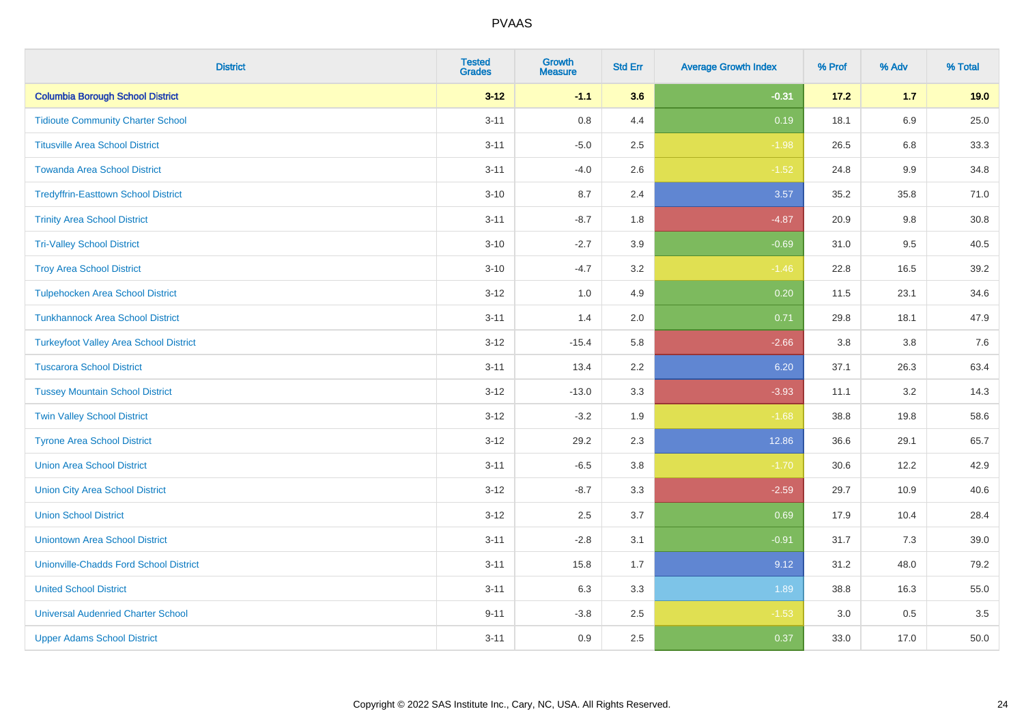| <b>District</b>                               | <b>Tested</b><br><b>Grades</b> | <b>Growth</b><br><b>Measure</b> | <b>Std Err</b> | <b>Average Growth Index</b> | % Prof | % Adv   | % Total |
|-----------------------------------------------|--------------------------------|---------------------------------|----------------|-----------------------------|--------|---------|---------|
| <b>Columbia Borough School District</b>       | $3 - 12$                       | $-1.1$                          | 3.6            | $-0.31$                     | 17.2   | $1.7$   | 19.0    |
| <b>Tidioute Community Charter School</b>      | $3 - 11$                       | 0.8                             | 4.4            | 0.19                        | 18.1   | 6.9     | 25.0    |
| <b>Titusville Area School District</b>        | $3 - 11$                       | $-5.0$                          | 2.5            | $-1.98$                     | 26.5   | 6.8     | 33.3    |
| <b>Towanda Area School District</b>           | $3 - 11$                       | $-4.0$                          | 2.6            | $-1.52$                     | 24.8   | 9.9     | 34.8    |
| <b>Tredyffrin-Easttown School District</b>    | $3 - 10$                       | 8.7                             | 2.4            | 3.57                        | 35.2   | 35.8    | 71.0    |
| <b>Trinity Area School District</b>           | $3 - 11$                       | $-8.7$                          | 1.8            | $-4.87$                     | 20.9   | $9.8\,$ | 30.8    |
| <b>Tri-Valley School District</b>             | $3 - 10$                       | $-2.7$                          | 3.9            | $-0.69$                     | 31.0   | 9.5     | 40.5    |
| <b>Troy Area School District</b>              | $3 - 10$                       | $-4.7$                          | 3.2            | $-1.46$                     | 22.8   | 16.5    | 39.2    |
| <b>Tulpehocken Area School District</b>       | $3 - 12$                       | 1.0                             | 4.9            | 0.20                        | 11.5   | 23.1    | 34.6    |
| <b>Tunkhannock Area School District</b>       | $3 - 11$                       | 1.4                             | 2.0            | 0.71                        | 29.8   | 18.1    | 47.9    |
| <b>Turkeyfoot Valley Area School District</b> | $3-12$                         | $-15.4$                         | 5.8            | $-2.66$                     | 3.8    | 3.8     | $7.6$   |
| <b>Tuscarora School District</b>              | $3 - 11$                       | 13.4                            | 2.2            | 6.20                        | 37.1   | 26.3    | 63.4    |
| <b>Tussey Mountain School District</b>        | $3 - 12$                       | $-13.0$                         | 3.3            | $-3.93$                     | 11.1   | 3.2     | 14.3    |
| <b>Twin Valley School District</b>            | $3 - 12$                       | $-3.2$                          | 1.9            | $-1.68$                     | 38.8   | 19.8    | 58.6    |
| <b>Tyrone Area School District</b>            | $3-12$                         | 29.2                            | 2.3            | 12.86                       | 36.6   | 29.1    | 65.7    |
| <b>Union Area School District</b>             | $3 - 11$                       | $-6.5$                          | 3.8            | $-1.70$                     | 30.6   | 12.2    | 42.9    |
| <b>Union City Area School District</b>        | $3 - 12$                       | $-8.7$                          | 3.3            | $-2.59$                     | 29.7   | 10.9    | 40.6    |
| <b>Union School District</b>                  | $3 - 12$                       | 2.5                             | 3.7            | 0.69                        | 17.9   | 10.4    | 28.4    |
| <b>Uniontown Area School District</b>         | $3 - 11$                       | $-2.8$                          | 3.1            | $-0.91$                     | 31.7   | 7.3     | 39.0    |
| <b>Unionville-Chadds Ford School District</b> | $3 - 11$                       | 15.8                            | 1.7            | 9.12                        | 31.2   | 48.0    | 79.2    |
| <b>United School District</b>                 | $3 - 11$                       | 6.3                             | 3.3            | 1.89                        | 38.8   | 16.3    | 55.0    |
| <b>Universal Audenried Charter School</b>     | $9 - 11$                       | $-3.8$                          | 2.5            | $-1.53$                     | 3.0    | $0.5\,$ | 3.5     |
| <b>Upper Adams School District</b>            | $3 - 11$                       | 0.9                             | 2.5            | 0.37                        | 33.0   | 17.0    | 50.0    |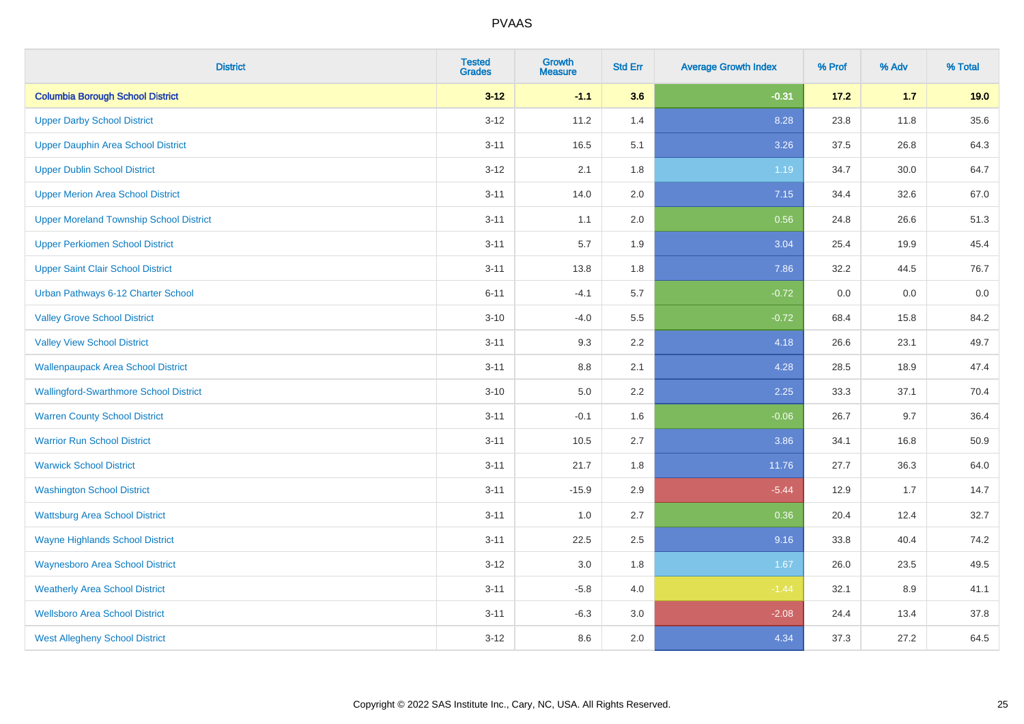| <b>District</b>                                | <b>Tested</b><br><b>Grades</b> | <b>Growth</b><br><b>Measure</b> | <b>Std Err</b> | <b>Average Growth Index</b> | % Prof | % Adv | % Total |
|------------------------------------------------|--------------------------------|---------------------------------|----------------|-----------------------------|--------|-------|---------|
| <b>Columbia Borough School District</b>        | $3 - 12$                       | $-1.1$                          | 3.6            | $-0.31$                     | 17.2   | $1.7$ | 19.0    |
| <b>Upper Darby School District</b>             | $3 - 12$                       | 11.2                            | 1.4            | 8.28                        | 23.8   | 11.8  | 35.6    |
| Upper Dauphin Area School District             | $3 - 11$                       | 16.5                            | 5.1            | 3.26                        | 37.5   | 26.8  | 64.3    |
| <b>Upper Dublin School District</b>            | $3 - 12$                       | 2.1                             | 1.8            | 1.19                        | 34.7   | 30.0  | 64.7    |
| <b>Upper Merion Area School District</b>       | $3 - 11$                       | 14.0                            | 2.0            | 7.15                        | 34.4   | 32.6  | 67.0    |
| <b>Upper Moreland Township School District</b> | $3 - 11$                       | 1.1                             | 2.0            | 0.56                        | 24.8   | 26.6  | 51.3    |
| <b>Upper Perkiomen School District</b>         | $3 - 11$                       | 5.7                             | 1.9            | 3.04                        | 25.4   | 19.9  | 45.4    |
| <b>Upper Saint Clair School District</b>       | $3 - 11$                       | 13.8                            | 1.8            | 7.86                        | 32.2   | 44.5  | 76.7    |
| Urban Pathways 6-12 Charter School             | $6 - 11$                       | $-4.1$                          | 5.7            | $-0.72$                     | 0.0    | 0.0   | $0.0\,$ |
| <b>Valley Grove School District</b>            | $3 - 10$                       | $-4.0$                          | 5.5            | $-0.72$                     | 68.4   | 15.8  | 84.2    |
| <b>Valley View School District</b>             | $3 - 11$                       | 9.3                             | 2.2            | 4.18                        | 26.6   | 23.1  | 49.7    |
| <b>Wallenpaupack Area School District</b>      | $3 - 11$                       | 8.8                             | 2.1            | 4.28                        | 28.5   | 18.9  | 47.4    |
| <b>Wallingford-Swarthmore School District</b>  | $3 - 10$                       | 5.0                             | $2.2\,$        | 2.25                        | 33.3   | 37.1  | 70.4    |
| <b>Warren County School District</b>           | $3 - 11$                       | $-0.1$                          | 1.6            | $-0.06$                     | 26.7   | 9.7   | 36.4    |
| <b>Warrior Run School District</b>             | $3 - 11$                       | 10.5                            | 2.7            | 3.86                        | 34.1   | 16.8  | 50.9    |
| <b>Warwick School District</b>                 | $3 - 11$                       | 21.7                            | 1.8            | 11.76                       | 27.7   | 36.3  | 64.0    |
| <b>Washington School District</b>              | $3 - 11$                       | $-15.9$                         | 2.9            | $-5.44$                     | 12.9   | 1.7   | 14.7    |
| <b>Wattsburg Area School District</b>          | $3 - 11$                       | 1.0                             | 2.7            | 0.36                        | 20.4   | 12.4  | 32.7    |
| <b>Wayne Highlands School District</b>         | $3 - 11$                       | 22.5                            | 2.5            | 9.16                        | 33.8   | 40.4  | 74.2    |
| <b>Waynesboro Area School District</b>         | $3 - 12$                       | $3.0\,$                         | 1.8            | 1.67                        | 26.0   | 23.5  | 49.5    |
| <b>Weatherly Area School District</b>          | $3 - 11$                       | $-5.8$                          | 4.0            | $-1.44$                     | 32.1   | 8.9   | 41.1    |
| <b>Wellsboro Area School District</b>          | $3 - 11$                       | $-6.3$                          | 3.0            | $-2.08$                     | 24.4   | 13.4  | 37.8    |
| <b>West Allegheny School District</b>          | $3 - 12$                       | 8.6                             | 2.0            | 4.34                        | 37.3   | 27.2  | 64.5    |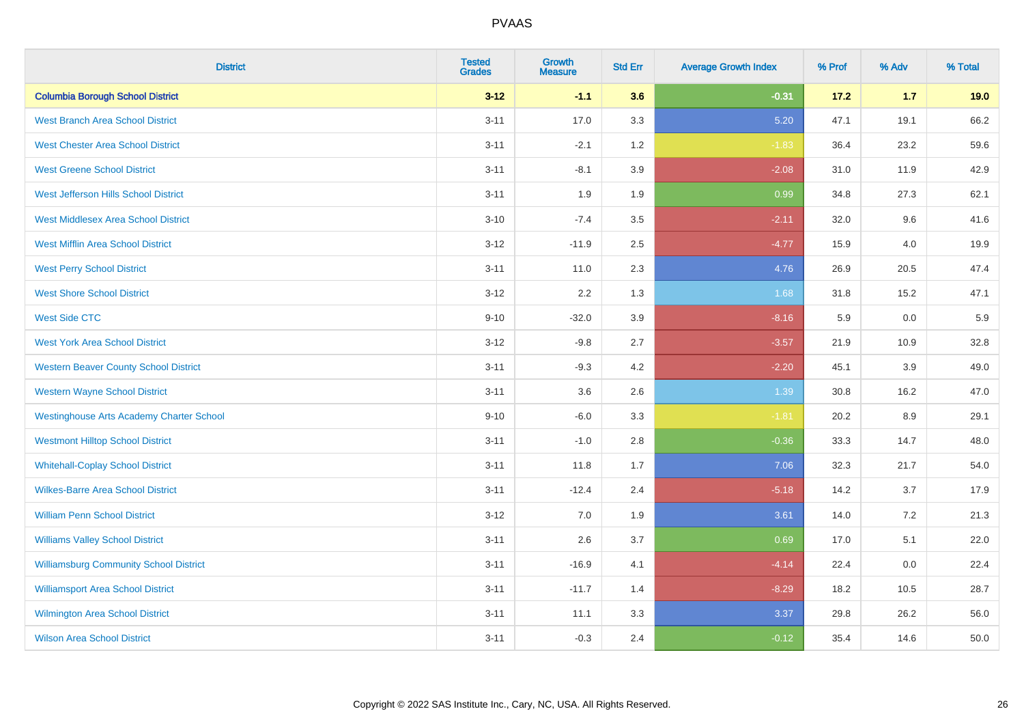| <b>District</b>                                 | <b>Tested</b><br><b>Grades</b> | <b>Growth</b><br><b>Measure</b> | <b>Std Err</b> | <b>Average Growth Index</b> | % Prof | % Adv | % Total |
|-------------------------------------------------|--------------------------------|---------------------------------|----------------|-----------------------------|--------|-------|---------|
| <b>Columbia Borough School District</b>         | $3 - 12$                       | $-1.1$                          | 3.6            | $-0.31$                     | 17.2   | $1.7$ | 19.0    |
| <b>West Branch Area School District</b>         | $3 - 11$                       | 17.0                            | 3.3            | 5.20                        | 47.1   | 19.1  | 66.2    |
| <b>West Chester Area School District</b>        | $3 - 11$                       | $-2.1$                          | 1.2            | $-1.83$                     | 36.4   | 23.2  | 59.6    |
| <b>West Greene School District</b>              | $3 - 11$                       | $-8.1$                          | 3.9            | $-2.08$                     | 31.0   | 11.9  | 42.9    |
| West Jefferson Hills School District            | $3 - 11$                       | 1.9                             | 1.9            | 0.99                        | 34.8   | 27.3  | 62.1    |
| <b>West Middlesex Area School District</b>      | $3 - 10$                       | $-7.4$                          | 3.5            | $-2.11$                     | 32.0   | 9.6   | 41.6    |
| <b>West Mifflin Area School District</b>        | $3 - 12$                       | $-11.9$                         | 2.5            | $-4.77$                     | 15.9   | 4.0   | 19.9    |
| <b>West Perry School District</b>               | $3 - 11$                       | 11.0                            | 2.3            | 4.76                        | 26.9   | 20.5  | 47.4    |
| <b>West Shore School District</b>               | $3 - 12$                       | 2.2                             | 1.3            | 1.68                        | 31.8   | 15.2  | 47.1    |
| <b>West Side CTC</b>                            | $9 - 10$                       | $-32.0$                         | 3.9            | $-8.16$                     | 5.9    | 0.0   | 5.9     |
| <b>West York Area School District</b>           | $3 - 12$                       | $-9.8$                          | 2.7            | $-3.57$                     | 21.9   | 10.9  | 32.8    |
| <b>Western Beaver County School District</b>    | $3 - 11$                       | $-9.3$                          | 4.2            | $-2.20$                     | 45.1   | 3.9   | 49.0    |
| <b>Western Wayne School District</b>            | $3 - 11$                       | 3.6                             | 2.6            | 1.39                        | 30.8   | 16.2  | 47.0    |
| <b>Westinghouse Arts Academy Charter School</b> | $9 - 10$                       | $-6.0$                          | 3.3            | $-1.81$                     | 20.2   | 8.9   | 29.1    |
| <b>Westmont Hilltop School District</b>         | $3 - 11$                       | $-1.0$                          | 2.8            | $-0.36$                     | 33.3   | 14.7  | 48.0    |
| <b>Whitehall-Coplay School District</b>         | $3 - 11$                       | 11.8                            | 1.7            | 7.06                        | 32.3   | 21.7  | 54.0    |
| <b>Wilkes-Barre Area School District</b>        | $3 - 11$                       | $-12.4$                         | 2.4            | $-5.18$                     | 14.2   | 3.7   | 17.9    |
| <b>William Penn School District</b>             | $3 - 12$                       | 7.0                             | 1.9            | 3.61                        | 14.0   | 7.2   | 21.3    |
| <b>Williams Valley School District</b>          | $3 - 11$                       | 2.6                             | 3.7            | 0.69                        | 17.0   | 5.1   | 22.0    |
| <b>Williamsburg Community School District</b>   | $3 - 11$                       | $-16.9$                         | 4.1            | $-4.14$                     | 22.4   | 0.0   | 22.4    |
| <b>Williamsport Area School District</b>        | $3 - 11$                       | $-11.7$                         | 1.4            | $-8.29$                     | 18.2   | 10.5  | 28.7    |
| Wilmington Area School District                 | $3 - 11$                       | 11.1                            | 3.3            | 3.37                        | 29.8   | 26.2  | 56.0    |
| <b>Wilson Area School District</b>              | $3 - 11$                       | $-0.3$                          | 2.4            | $-0.12$                     | 35.4   | 14.6  | 50.0    |